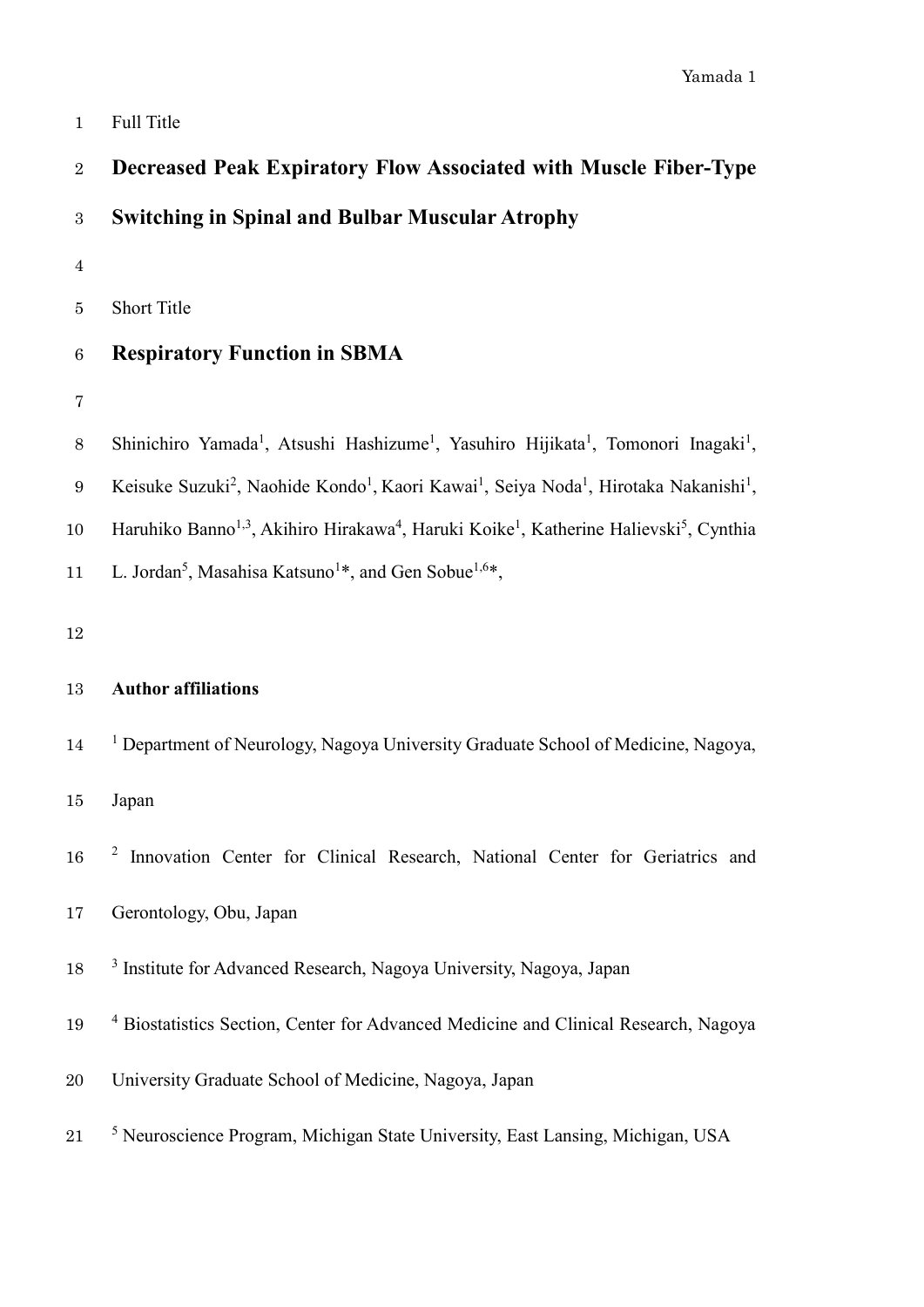1 Full Title

| $\,2$            | <b>Decreased Peak Expiratory Flow Associated with Muscle Fiber-Type</b>                                                                           |
|------------------|---------------------------------------------------------------------------------------------------------------------------------------------------|
| $\sqrt{3}$       | <b>Switching in Spinal and Bulbar Muscular Atrophy</b>                                                                                            |
| $\bf 4$          |                                                                                                                                                   |
| $\bf 5$          | <b>Short Title</b>                                                                                                                                |
| $\,6$            | <b>Respiratory Function in SBMA</b>                                                                                                               |
| $\overline{7}$   |                                                                                                                                                   |
| $8\,$            | Shinichiro Yamada <sup>1</sup> , Atsushi Hashizume <sup>1</sup> , Yasuhiro Hijikata <sup>1</sup> , Tomonori Inagaki <sup>1</sup> ,                |
| $\boldsymbol{9}$ | Keisuke Suzuki <sup>2</sup> , Naohide Kondo <sup>1</sup> , Kaori Kawai <sup>1</sup> , Seiya Noda <sup>1</sup> , Hirotaka Nakanishi <sup>1</sup> , |
| 10               | Haruhiko Banno <sup>1,3</sup> , Akihiro Hirakawa <sup>4</sup> , Haruki Koike <sup>1</sup> , Katherine Halievski <sup>5</sup> , Cynthia            |
| 11               | L. Jordan <sup>5</sup> , Masahisa Katsuno <sup>1*</sup> , and Gen Sobue <sup>1,6*</sup> ,                                                         |
| 12               |                                                                                                                                                   |
| 13               | <b>Author affiliations</b>                                                                                                                        |
| 14               | <sup>1</sup> Department of Neurology, Nagoya University Graduate School of Medicine, Nagoya,                                                      |
| 15               | Japan                                                                                                                                             |
| 16               | <sup>2</sup> Innovation Center for Clinical Research, National Center for Geriatrics and                                                          |
| 17               | Gerontology, Obu, Japan                                                                                                                           |
| 18               | <sup>3</sup> Institute for Advanced Research, Nagoya University, Nagoya, Japan                                                                    |
| 19               | <sup>4</sup> Biostatistics Section, Center for Advanced Medicine and Clinical Research, Nagoya                                                    |
| $20\,$           | University Graduate School of Medicine, Nagoya, Japan                                                                                             |
| $21\,$           | <sup>5</sup> Neuroscience Program, Michigan State University, East Lansing, Michigan, USA                                                         |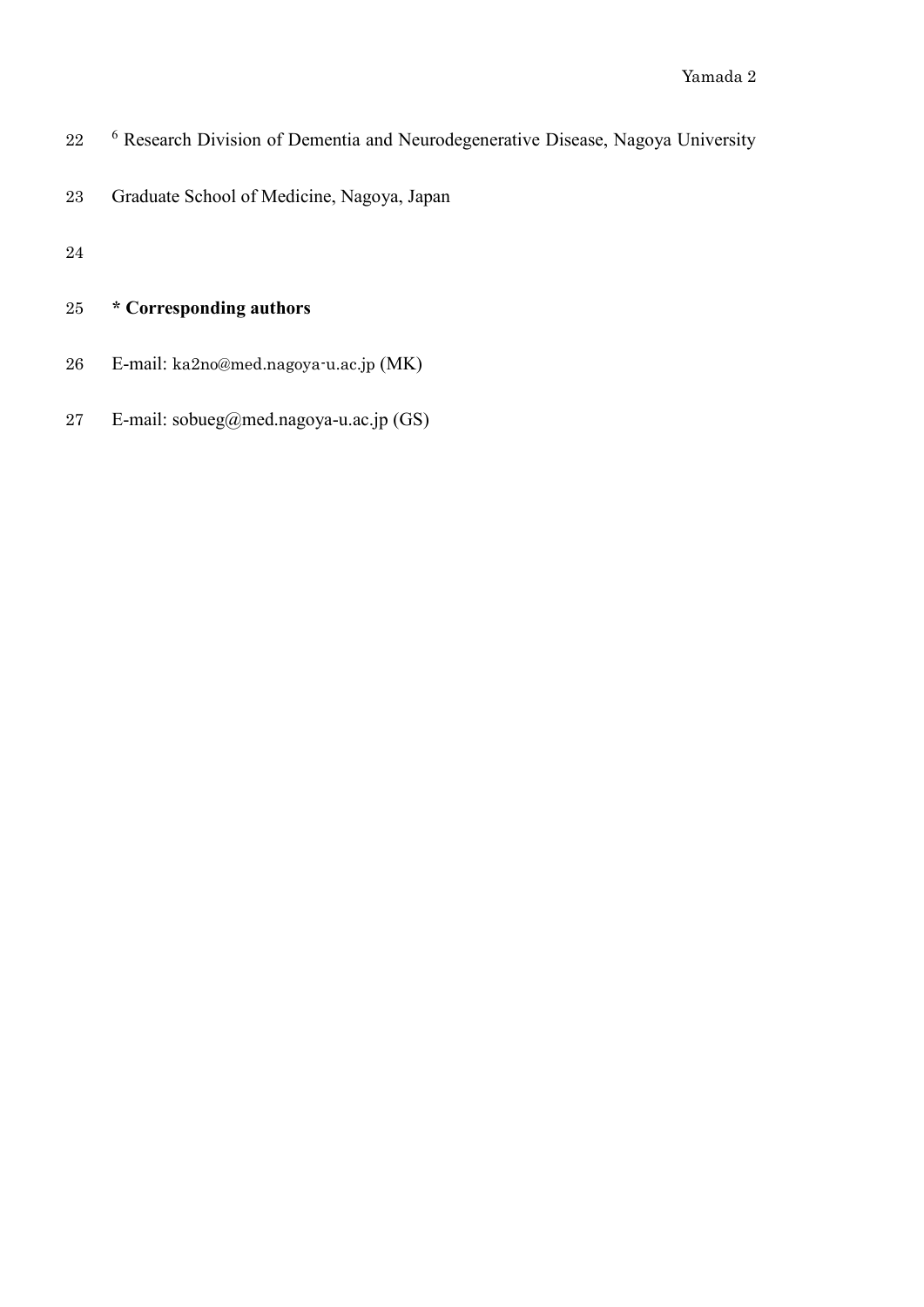- 22 <sup>6</sup> Research Division of Dementia and Neurodegenerative Disease, Nagoya University
- Graduate School of Medicine, Nagoya, Japan
- 

## **\* Corresponding authors**

- E-mail: ka2no@med.nagoya-u.ac.jp (MK)
- E-mail: sobueg@med.nagoya-u.ac.jp (GS)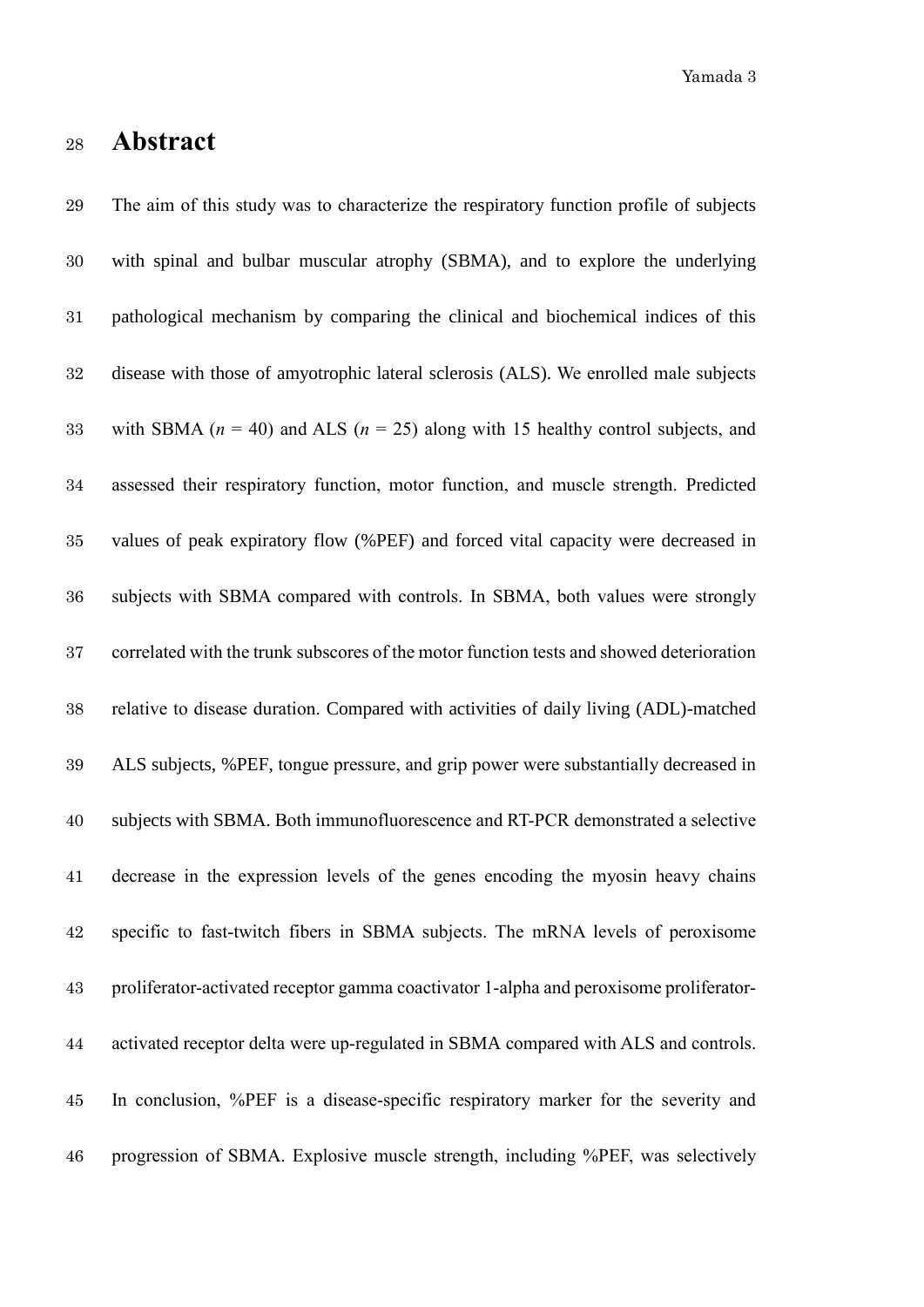Yamada 3

#### **Abstract**

 The aim of this study was to characterize the respiratory function profile of subjects with spinal and bulbar muscular atrophy (SBMA), and to explore the underlying pathological mechanism by comparing the clinical and biochemical indices of this disease with those of amyotrophic lateral sclerosis (ALS). We enrolled male subjects 33 with SBMA  $(n = 40)$  and ALS  $(n = 25)$  along with 15 healthy control subjects, and assessed their respiratory function, motor function, and muscle strength. Predicted values of peak expiratory flow (%PEF) and forced vital capacity were decreased in subjects with SBMA compared with controls. In SBMA, both values were strongly correlated with the trunk subscores of the motor function tests and showed deterioration relative to disease duration. Compared with activities of daily living (ADL)-matched ALS subjects, %PEF, tongue pressure, and grip power were substantially decreased in subjects with SBMA. Both immunofluorescence and RT-PCR demonstrated a selective decrease in the expression levels of the genes encoding the myosin heavy chains specific to fast-twitch fibers in SBMA subjects. The mRNA levels of peroxisome proliferator-activated receptor gamma coactivator 1-alpha and peroxisome proliferator- activated receptor delta were up-regulated in SBMA compared with ALS and controls. In conclusion, %PEF is a disease-specific respiratory marker for the severity and progression of SBMA. Explosive muscle strength, including %PEF, was selectively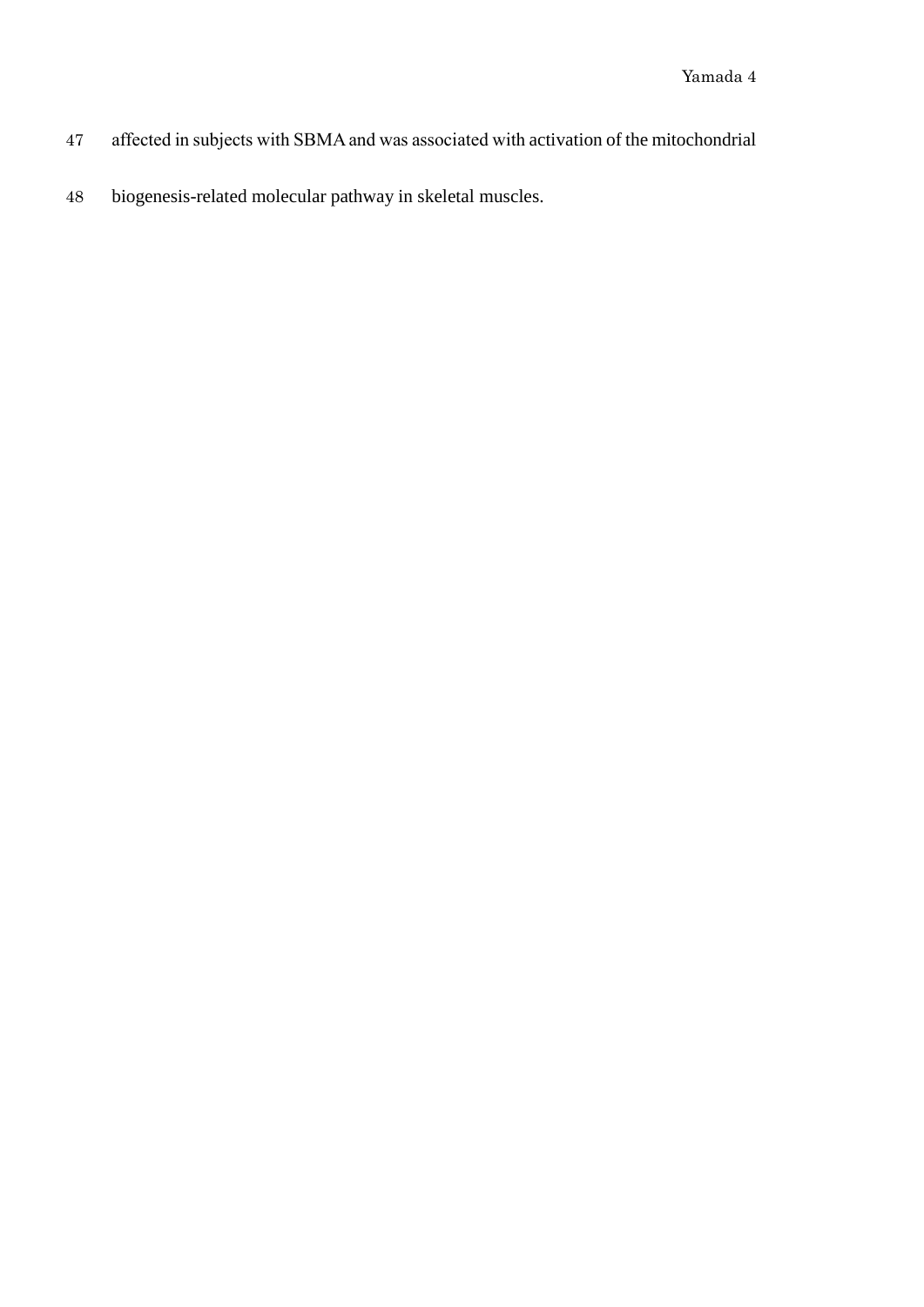- affected in subjects with SBMAand was associated with activation of the mitochondrial
- biogenesis-related molecular pathway in skeletal muscles.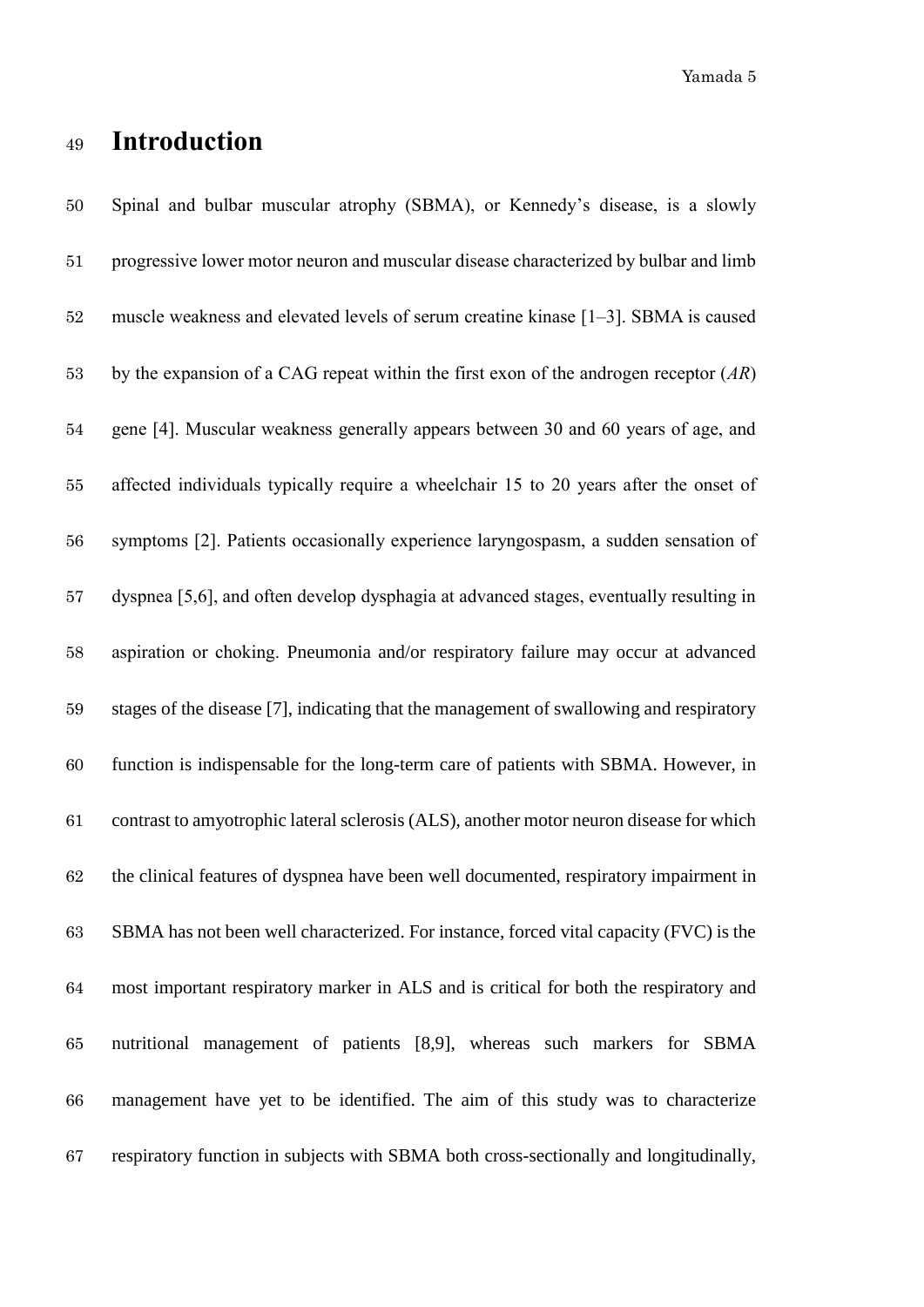Yamada 5

#### **Introduction**

 Spinal and bulbar muscular atrophy (SBMA), or Kennedy's disease, is a slowly progressive lower motor neuron and muscular disease characterized by bulbar and limb muscle weakness and elevated levels of serum creatine kinase [1–3]. SBMA is caused by the expansion of a CAG repeat within the first exon of the androgen receptor (*AR*) gene [4]. Muscular weakness generally appears between 30 and 60 years of age, and affected individuals typically require a wheelchair 15 to 20 years after the onset of symptoms [2]. Patients occasionally experience laryngospasm, a sudden sensation of dyspnea [5,6], and often develop dysphagia at advanced stages, eventually resulting in aspiration or choking. Pneumonia and/or respiratory failure may occur at advanced stages of the disease [7], indicating that the management of swallowing and respiratory function is indispensable for the long-term care of patients with SBMA. However, in contrast to amyotrophic lateral sclerosis (ALS), another motor neuron disease for which the clinical features of dyspnea have been well documented, respiratory impairment in SBMA has not been well characterized. For instance, forced vital capacity (FVC) is the most important respiratory marker in ALS and is critical for both the respiratory and nutritional management of patients [8,9], whereas such markers for SBMA management have yet to be identified. The aim of this study was to characterize respiratory function in subjects with SBMA both cross-sectionally and longitudinally,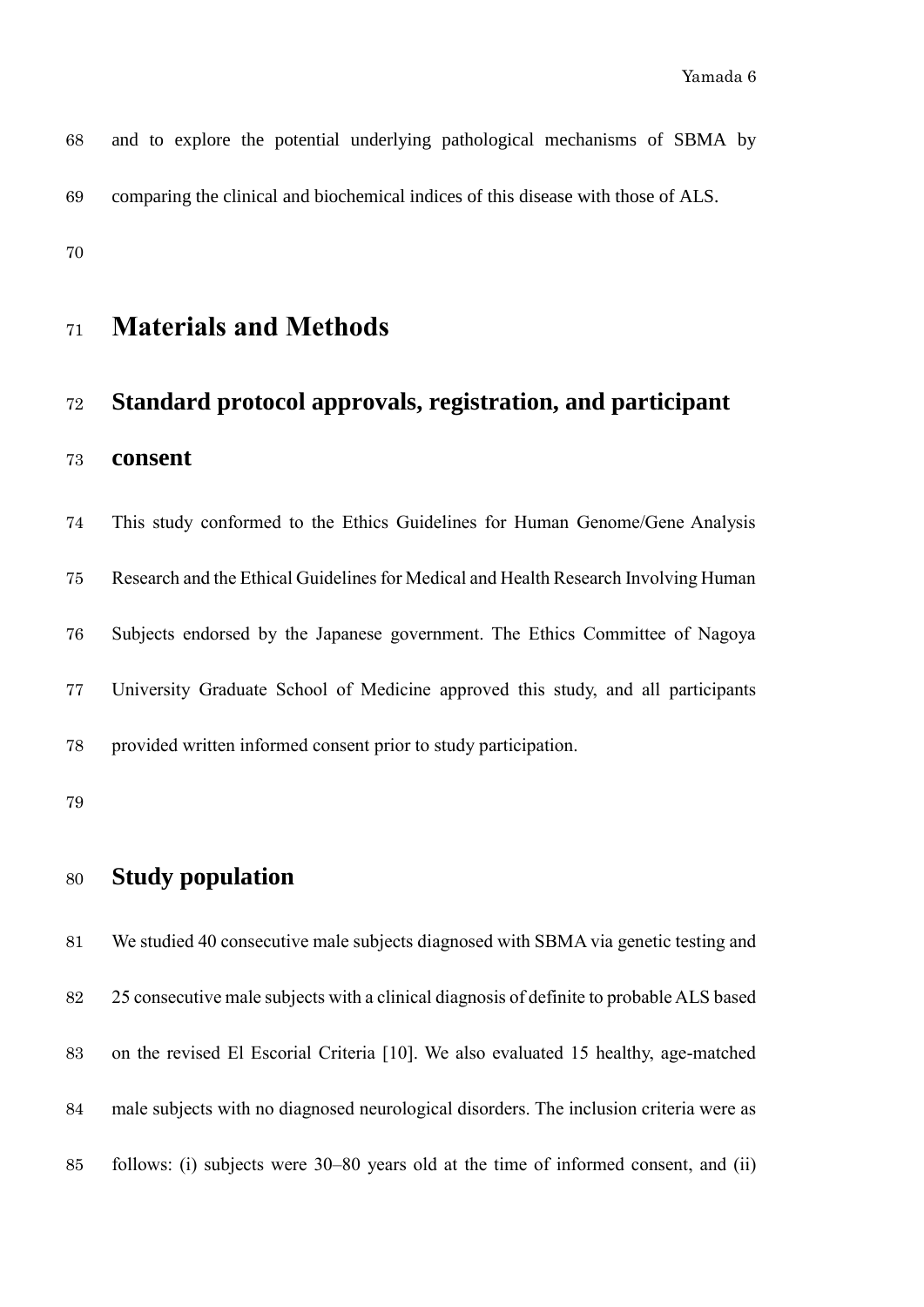| 68 |  |  |  | and to explore the potential underlying pathological mechanisms of SBMA by        |  |  |
|----|--|--|--|-----------------------------------------------------------------------------------|--|--|
| 69 |  |  |  | comparing the clinical and biochemical indices of this disease with those of ALS. |  |  |

# **Materials and Methods**

# **Standard protocol approvals, registration, and participant consent**

 This study conformed to the Ethics Guidelines for Human Genome/Gene Analysis Research and the Ethical Guidelines for Medical and Health Research Involving Human Subjects endorsed by the Japanese government. The Ethics Committee of Nagoya University Graduate School of Medicine approved this study, and all participants provided written informed consent prior to study participation.

#### **Study population**

 We studied 40 consecutive male subjects diagnosed with SBMA via genetic testing and 25 consecutive male subjects with a clinical diagnosis of definite to probable ALS based on the revised El Escorial Criteria [10]. We also evaluated 15 healthy, age-matched male subjects with no diagnosed neurological disorders. The inclusion criteria were as follows: (i) subjects were 30–80 years old at the time of informed consent, and (ii)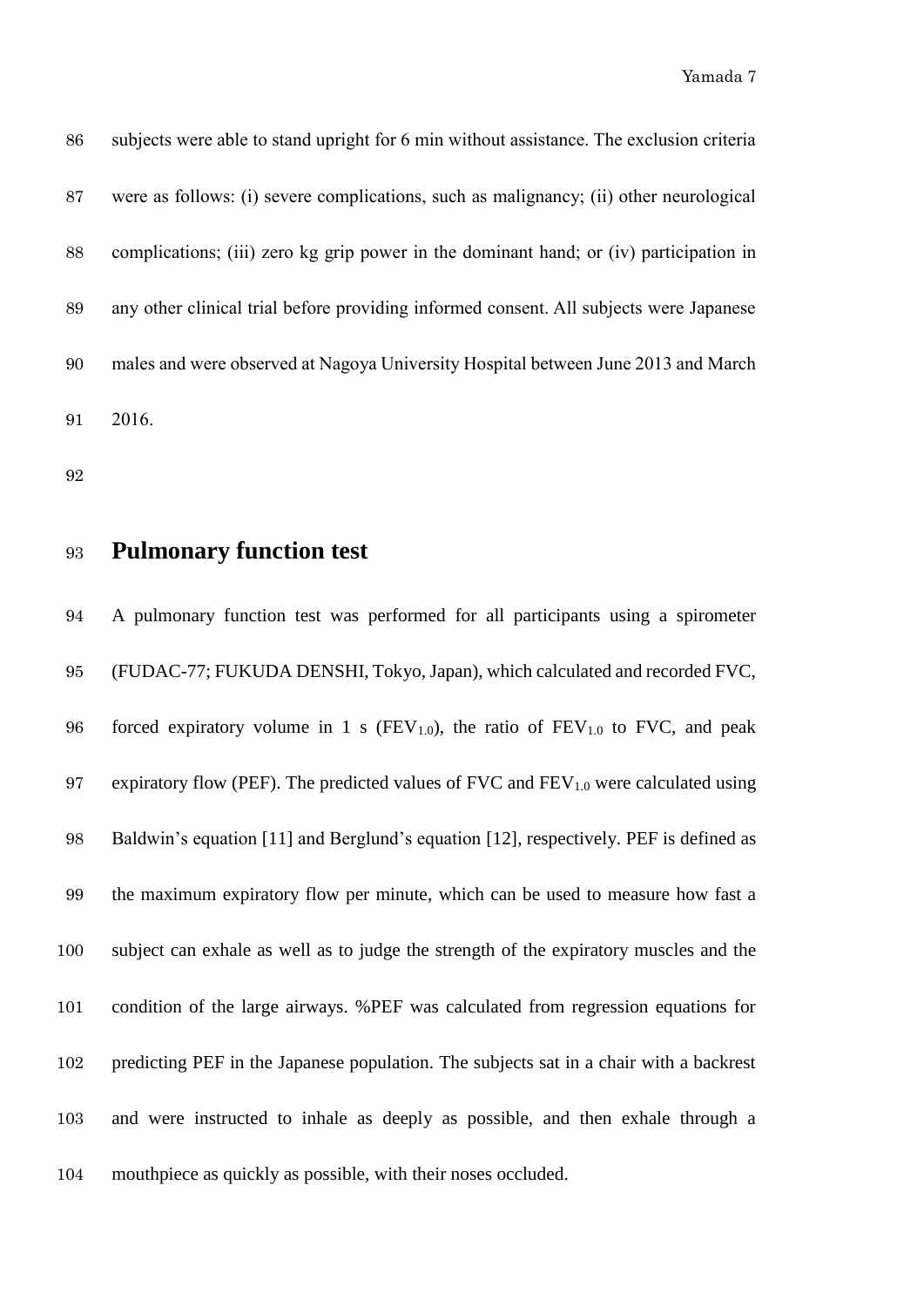| 86 | subjects were able to stand upright for 6 min without assistance. The exclusion criteria |
|----|------------------------------------------------------------------------------------------|
| 87 | were as follows: (i) severe complications, such as malignancy; (ii) other neurological   |
| 88 | complications; (iii) zero kg grip power in the dominant hand; or (iv) participation in   |
| 89 | any other clinical trial before providing informed consent. All subjects were Japanese   |
| 90 | males and were observed at Nagoya University Hospital between June 2013 and March        |
| 91 | 2016.                                                                                    |

- 
- **Pulmonary function test**

 A pulmonary function test was performed for all participants using a spirometer (FUDAC-77; FUKUDA DENSHI, Tokyo, Japan), which calculated and recorded FVC, 96 forced expiratory volume in 1 s ( $FEV<sub>1.0</sub>$ ), the ratio of  $FEV<sub>1.0</sub>$  to FVC, and peak 97 expiratory flow (PEF). The predicted values of FVC and  $FEV<sub>1.0</sub>$  were calculated using Baldwin's equation [11] and Berglund's equation [12], respectively. PEF is defined as the maximum expiratory flow per minute, which can be used to measure how fast a subject can exhale as well as to judge the strength of the expiratory muscles and the condition of the large airways. %PEF was calculated from regression equations for predicting PEF in the Japanese population. The subjects sat in a chair with a backrest and were instructed to inhale as deeply as possible, and then exhale through a mouthpiece as quickly as possible, with their noses occluded.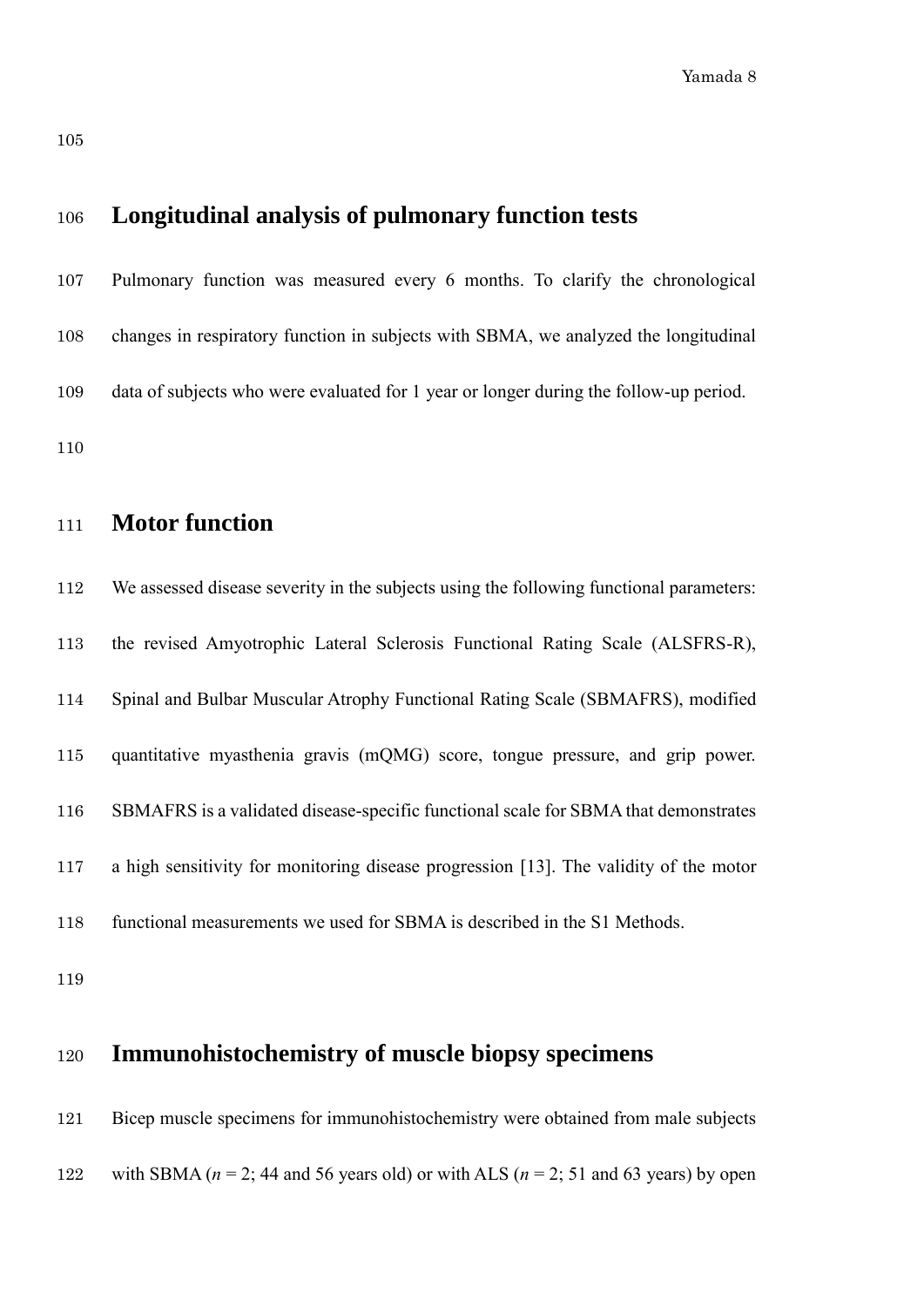#### **Longitudinal analysis of pulmonary function tests**

 Pulmonary function was measured every 6 months. To clarify the chronological changes in respiratory function in subjects with SBMA, we analyzed the longitudinal data of subjects who were evaluated for 1 year or longer during the follow-up period. 

## **Motor function**

 We assessed disease severity in the subjects using the following functional parameters: the revised Amyotrophic Lateral Sclerosis Functional Rating Scale (ALSFRS-R), Spinal and Bulbar Muscular Atrophy Functional Rating Scale (SBMAFRS), modified quantitative myasthenia gravis (mQMG) score, tongue pressure, and grip power. SBMAFRS is a validated disease-specific functional scale for SBMA that demonstrates a high sensitivity for monitoring disease progression [13]. The validity of the motor functional measurements we used for SBMA is described in the S1 Methods.

#### **Immunohistochemistry of muscle biopsy specimens**

```
121 Bicep muscle specimens for immunohistochemistry were obtained from male subjects 
122 with SBMA (n = 2; 44 and 56 years old) or with ALS (n = 2; 51 and 63 years) by open
```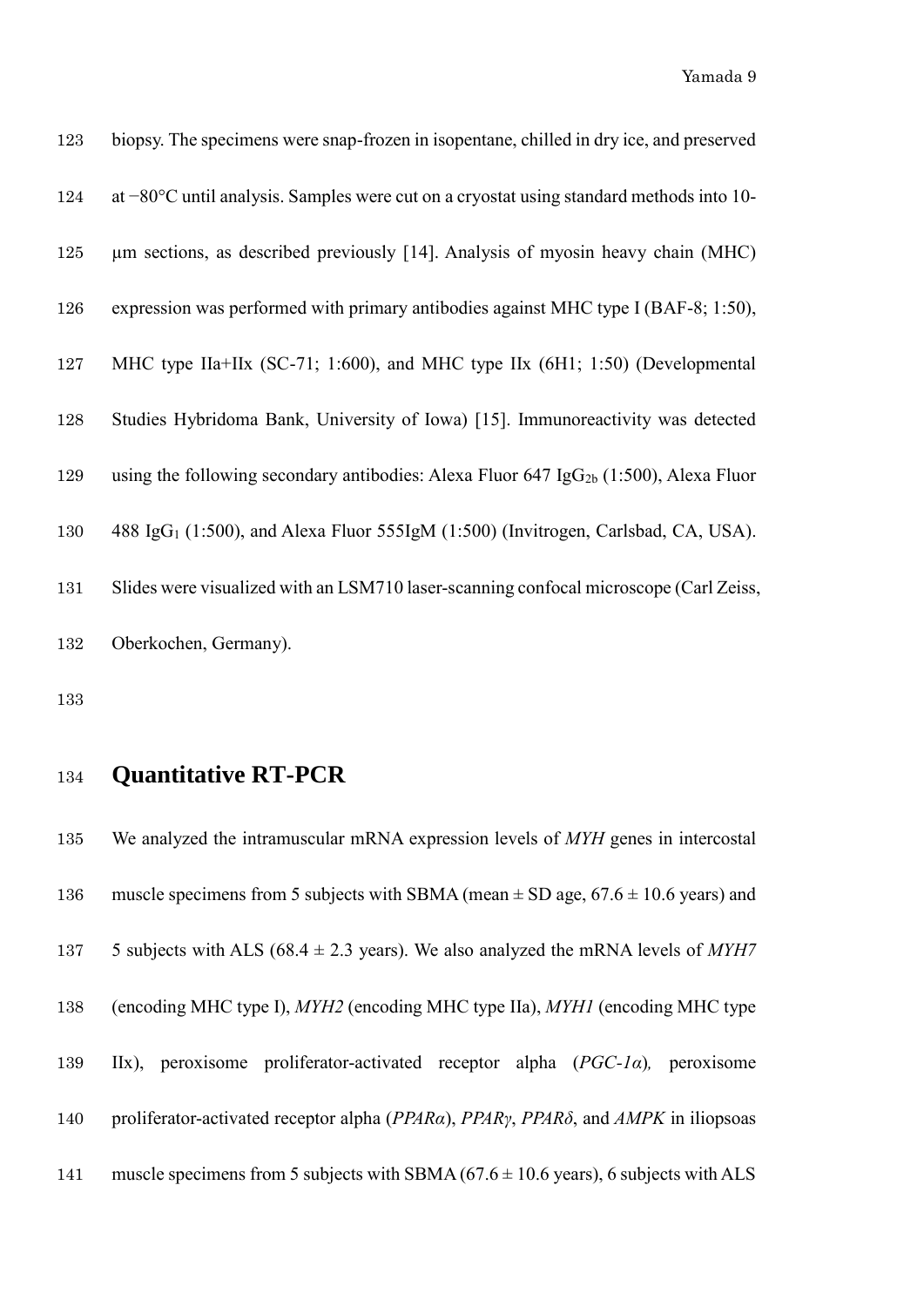Yamada 9

| 123 | biopsy. The specimens were snap-frozen in isopentane, chilled in dry ice, and preserved           |
|-----|---------------------------------------------------------------------------------------------------|
| 124 | at $-80^{\circ}$ C until analysis. Samples were cut on a cryostat using standard methods into 10- |
| 125 | um sections, as described previously [14]. Analysis of myosin heavy chain (MHC)                   |
| 126 | expression was performed with primary antibodies against MHC type I (BAF-8; 1:50),                |
| 127 | MHC type IIa+IIx (SC-71; 1:600), and MHC type IIx (6H1; 1:50) (Developmental                      |
| 128 | Studies Hybridoma Bank, University of Iowa) [15]. Immunoreactivity was detected                   |
| 129 | using the following secondary antibodies: Alexa Fluor 647 Ig $G_{2b}$ (1:500), Alexa Fluor        |
| 130 | 488 IgG <sub>1</sub> (1:500), and Alexa Fluor 555IgM (1:500) (Invitrogen, Carlsbad, CA, USA).     |
| 131 | Slides were visualized with an LSM710 laser-scanning confocal microscope (Carl Zeiss,             |
| 132 | Oberkochen, Germany).                                                                             |

## **Quantitative RT-PCR**

 We analyzed the intramuscular mRNA expression levels of *MYH* genes in intercostal 136 muscle specimens from 5 subjects with SBMA (mean  $\pm$  SD age, 67.6  $\pm$  10.6 years) and 137 5 subjects with ALS ( $68.4 \pm 2.3$  years). We also analyzed the mRNA levels of *MYH7*  (encoding MHC type I), *MYH2* (encoding MHC type IIa), *MYH1* (encoding MHC type IIx), peroxisome proliferator-activated receptor alpha (*PGC-1α*)*,* peroxisome proliferator-activated receptor alpha (*PPARα*), *PPARγ*, *PPARδ*, and *AMPK* in iliopsoas 141 muscle specimens from 5 subjects with SBMA  $(67.6 \pm 10.6 \text{ years})$ , 6 subjects with ALS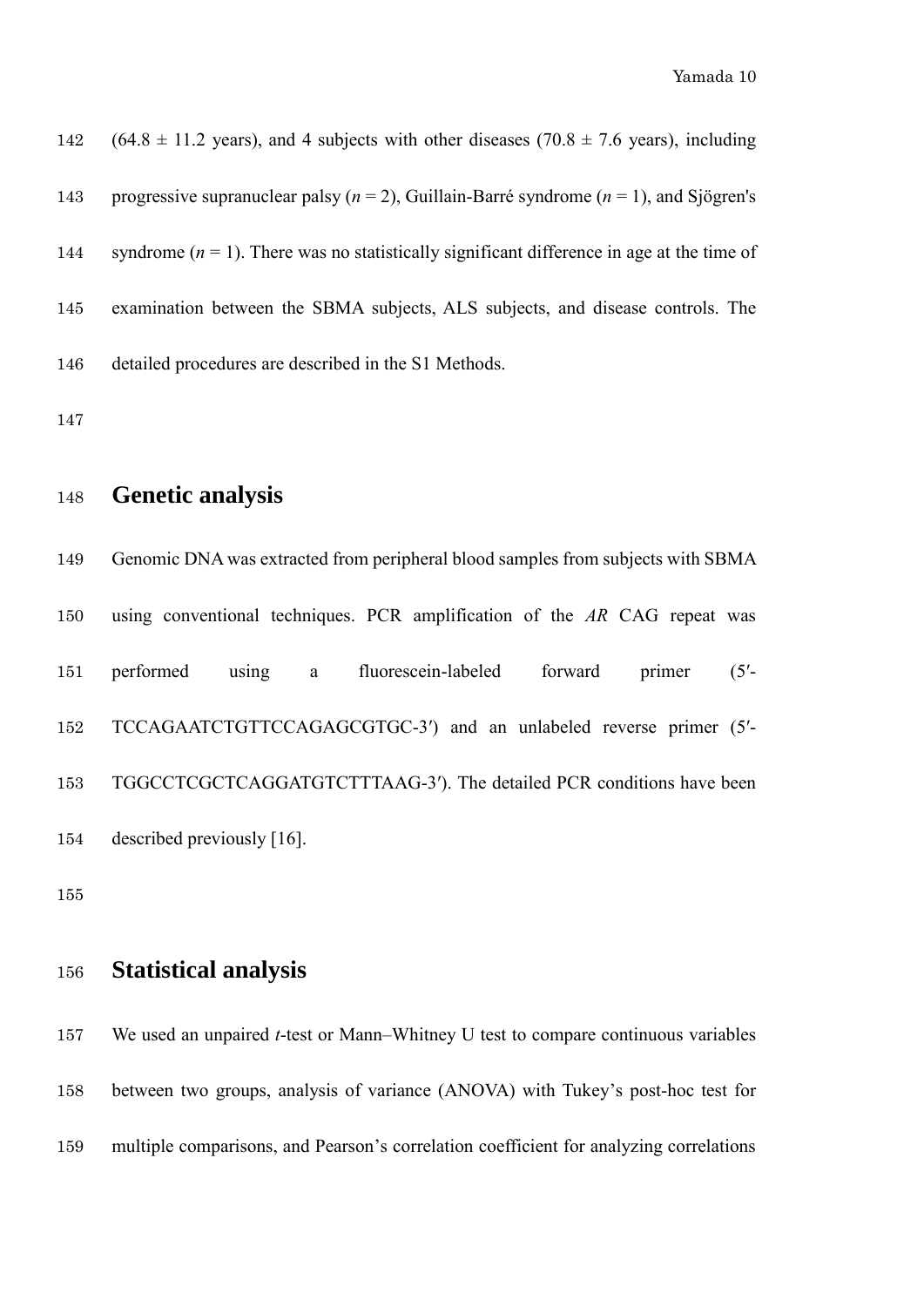142 (64.8  $\pm$  11.2 years), and 4 subjects with other diseases (70.8  $\pm$  7.6 years), including progressive supranuclear palsy (*n* = 2), Guillain-Barré syndrome (*n* = 1), and Sjögren's 144 syndrome  $(n = 1)$ . There was no statistically significant difference in age at the time of examination between the SBMA subjects, ALS subjects, and disease controls. The detailed procedures are described in the S1 Methods.

#### **Genetic analysis**

 Genomic DNA was extracted from peripheral blood samples from subjects with SBMA using conventional techniques. PCR amplification of the *AR* CAG repeat was performed using a fluorescein-labeled forward primer (5′- TCCAGAATCTGTTCCAGAGCGTGC-3′) and an unlabeled reverse primer (5′- TGGCCTCGCTCAGGATGTCTTTAAG-3′). The detailed PCR conditions have been described previously [16].

#### **Statistical analysis**

 We used an unpaired *t*-test or Mann–Whitney U test to compare continuous variables between two groups, analysis of variance (ANOVA) with Tukey's post-hoc test for multiple comparisons, and Pearson's correlation coefficient for analyzing correlations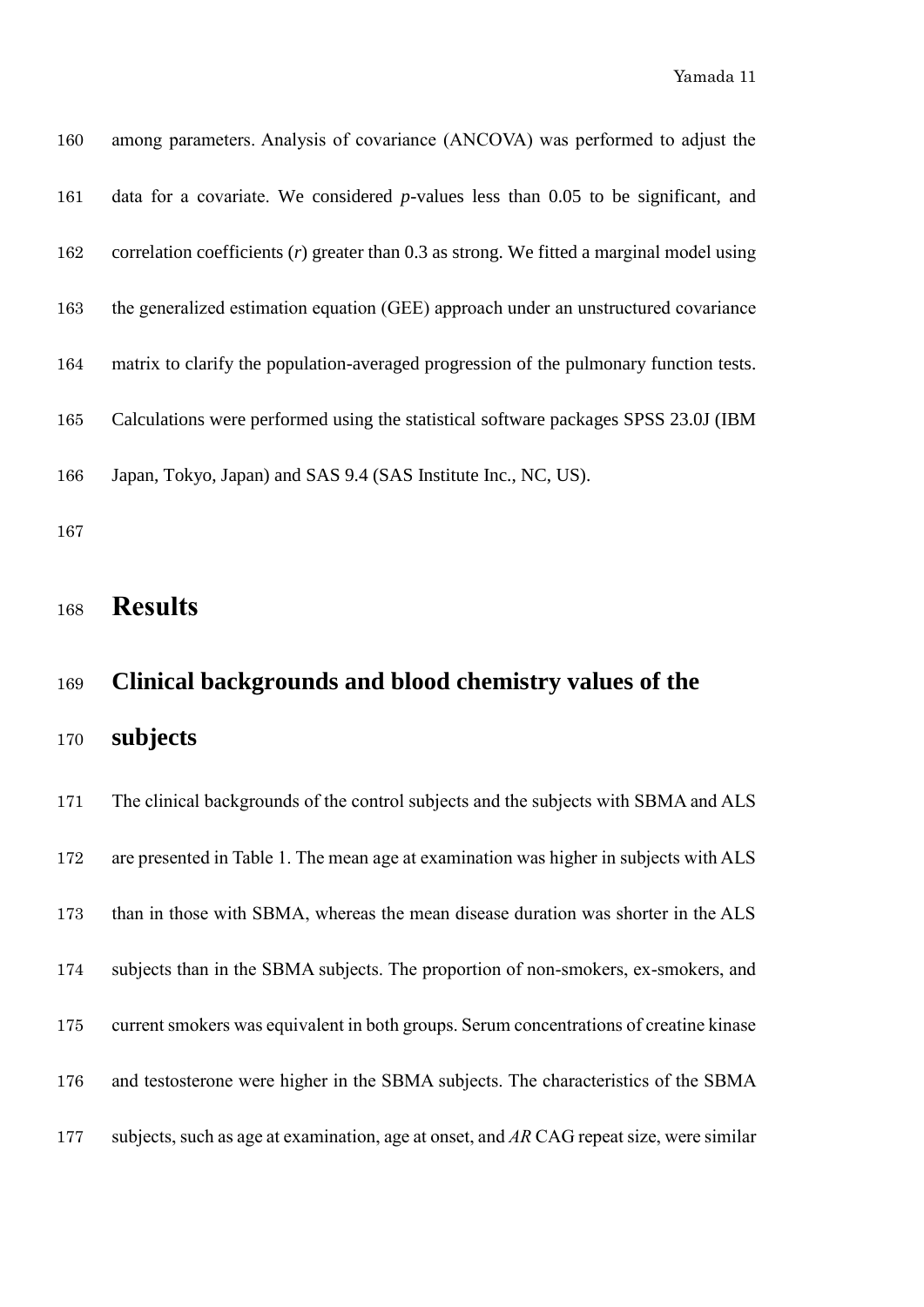| 160 | among parameters. Analysis of covariance (ANCOVA) was performed to adjust the               |
|-----|---------------------------------------------------------------------------------------------|
| 161 | data for a covariate. We considered $p$ -values less than 0.05 to be significant, and       |
| 162 | correlation coefficients $(r)$ greater than 0.3 as strong. We fitted a marginal model using |
| 163 | the generalized estimation equation (GEE) approach under an unstructured covariance         |
| 164 | matrix to clarify the population-averaged progression of the pulmonary function tests.      |
| 165 | Calculations were performed using the statistical software packages SPSS 23.0J (IBM         |
| 166 | Japan, Tokyo, Japan) and SAS 9.4 (SAS Institute Inc., NC, US).                              |
|     |                                                                                             |

## **Results**

## **Clinical backgrounds and blood chemistry values of the**

**subjects**

 The clinical backgrounds of the control subjects and the subjects with SBMA and ALS are presented in Table 1. The mean age at examination was higher in subjects with ALS than in those with SBMA, whereas the mean disease duration was shorter in the ALS subjects than in the SBMA subjects. The proportion of non-smokers, ex-smokers, and current smokers was equivalent in both groups. Serum concentrations of creatine kinase and testosterone were higher in the SBMA subjects. The characteristics of the SBMA subjects, such as age at examination, age at onset, and *AR* CAG repeat size, were similar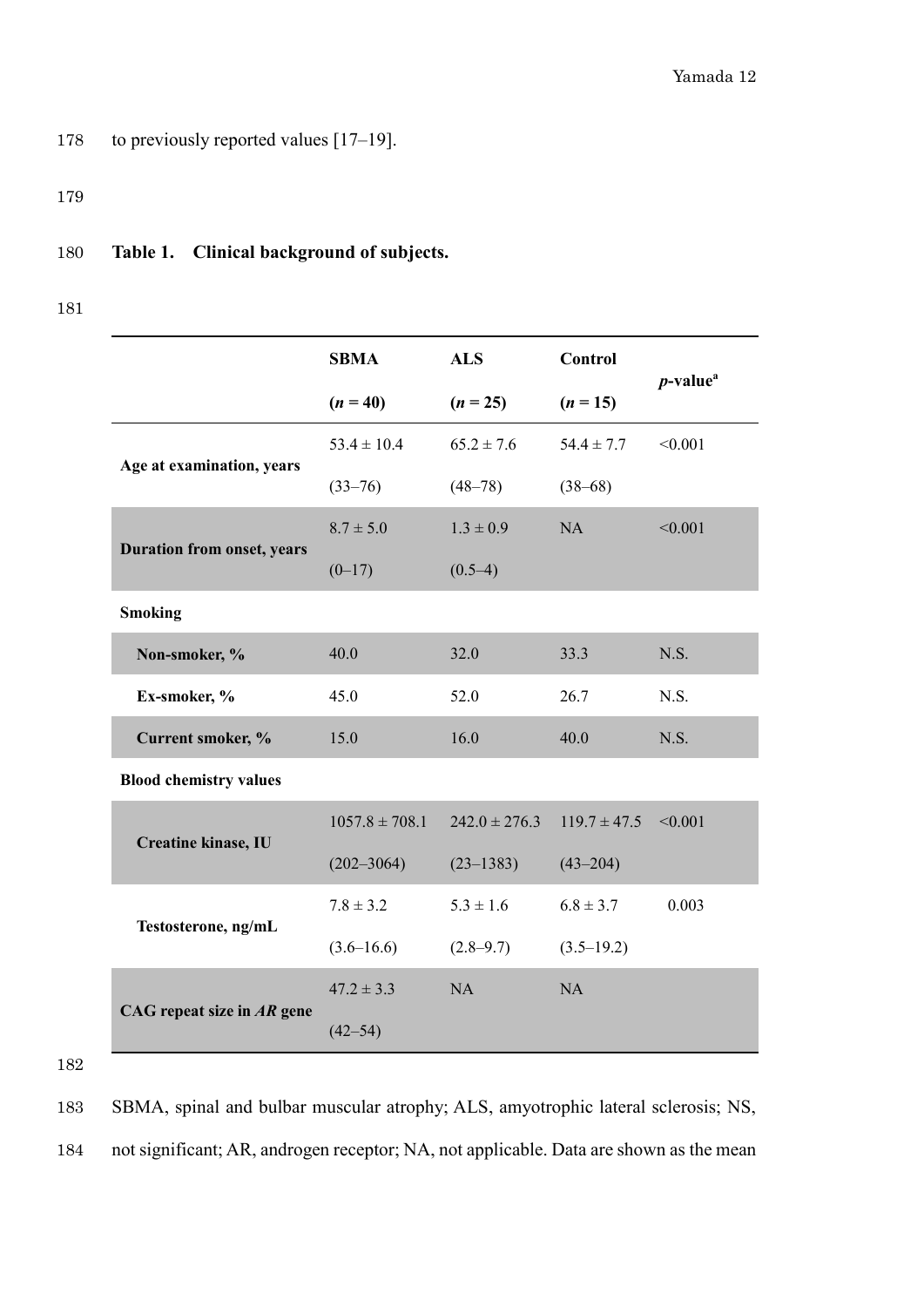178 to previously reported values [17-19].

179

#### 180 **Table 1. Clinical background of subjects.**

181

|                                   | <b>SBMA</b>        | <b>ALS</b>        | <b>Control</b>   | $p$ -value <sup>a</sup> |
|-----------------------------------|--------------------|-------------------|------------------|-------------------------|
|                                   | $(n = 40)$         | $(n = 25)$        | $(n = 15)$       |                         |
|                                   | $53.4 \pm 10.4$    | $65.2 \pm 7.6$    | $54.4 \pm 7.7$   | < 0.001                 |
| Age at examination, years         | $(33 - 76)$        | $(48 - 78)$       | $(38 - 68)$      |                         |
|                                   | $8.7 \pm 5.0$      | $1.3 \pm 0.9$     | <b>NA</b>        | < 0.001                 |
| <b>Duration from onset, years</b> | $(0-17)$           | $(0.5-4)$         |                  |                         |
| <b>Smoking</b>                    |                    |                   |                  |                         |
| Non-smoker, %                     | 40.0               | 32.0              | 33.3             | N.S.                    |
| Ex-smoker, %                      | 45.0               | 52.0              | 26.7             | N.S.                    |
| Current smoker, %                 | 15.0               | 16.0              | 40.0             | N.S.                    |
| <b>Blood chemistry values</b>     |                    |                   |                  |                         |
|                                   | $1057.8 \pm 708.1$ | $242.0 \pm 276.3$ | $119.7 \pm 47.5$ | < 0.001                 |
| Creatine kinase, IU               | $(202 - 3064)$     | $(23 - 1383)$     | $(43 - 204)$     |                         |
|                                   | $7.8 \pm 3.2$      | $5.3 \pm 1.6$     | $6.8 \pm 3.7$    | 0.003                   |
| Testosterone, ng/mL               | $(3.6 - 16.6)$     | $(2.8 - 9.7)$     | $(3.5 - 19.2)$   |                         |
|                                   | $47.2 \pm 3.3$     | NA                | <b>NA</b>        |                         |
| CAG repeat size in $AR$ gene      | $(42 - 54)$        |                   |                  |                         |

182

183 SBMA, spinal and bulbar muscular atrophy; ALS, amyotrophic lateral sclerosis; NS,

184 not significant; AR, androgen receptor; NA, not applicable. Data are shown as the mean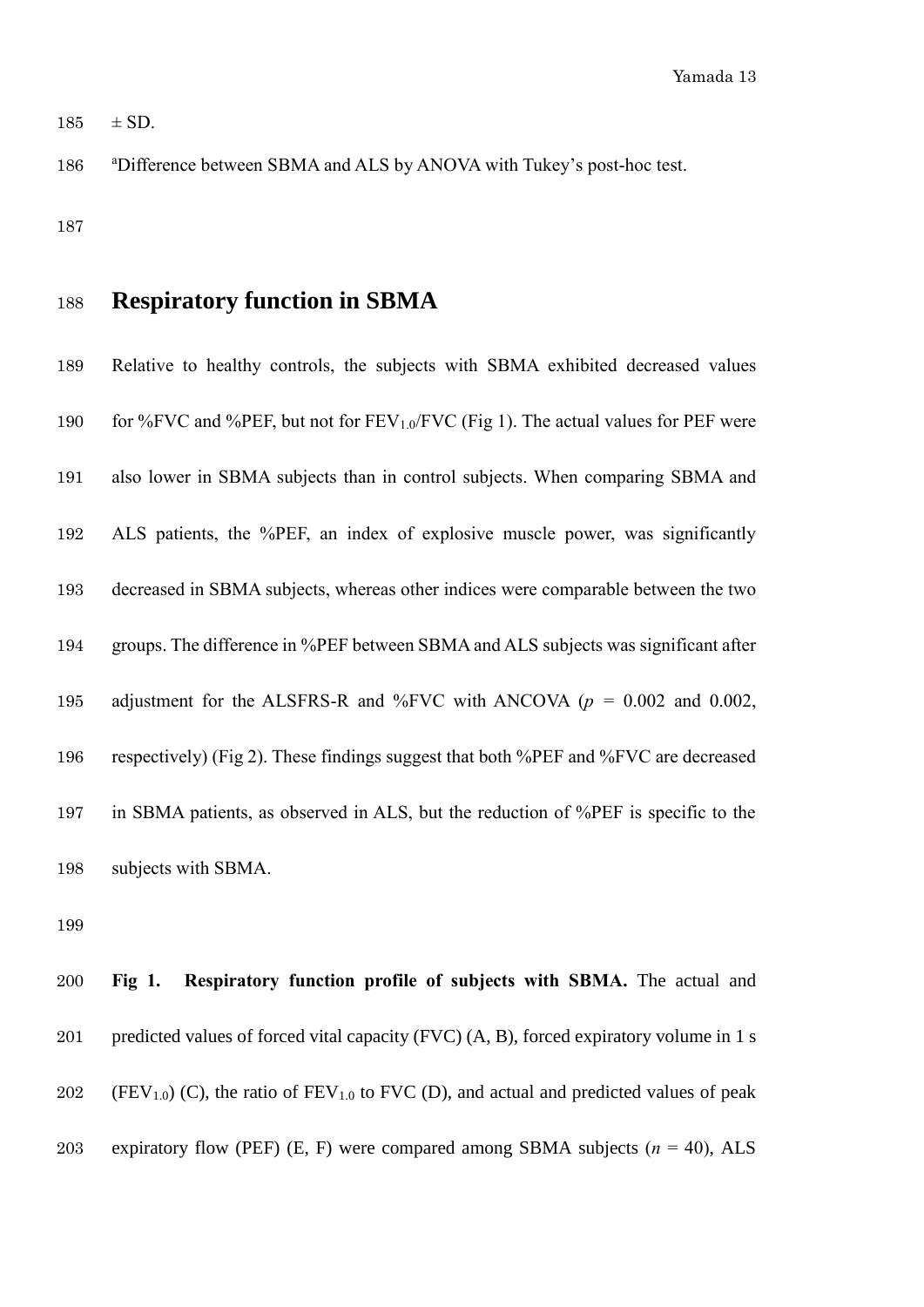$185 \pm SD$ .

186 a <sup>a</sup>Difference between SBMA and ALS by ANOVA with Tukey's post-hoc test.

## **Respiratory function in SBMA**

 Relative to healthy controls, the subjects with SBMA exhibited decreased values 190 for %FVC and %PEF, but not for  $FEV_{1.0}/FVC$  (Fig 1). The actual values for PEF were also lower in SBMA subjects than in control subjects. When comparing SBMA and ALS patients, the %PEF, an index of explosive muscle power, was significantly decreased in SBMA subjects, whereas other indices were comparable between the two groups. The difference in %PEF between SBMA and ALS subjects was significant after adjustment for the ALSFRS-R and %FVC with ANCOVA (*p =* 0.002 and 0.002, respectively) (Fig 2). These findings suggest that both %PEF and %FVC are decreased in SBMA patients, as observed in ALS, but the reduction of %PEF is specific to the subjects with SBMA.

 **Fig 1. Respiratory function profile of subjects with SBMA.** The actual and predicted values of forced vital capacity (FVC) (A, B), forced expiratory volume in 1 s 202 (FEV<sub>1.0</sub>) (C), the ratio of FEV<sub>1.0</sub> to FVC (D), and actual and predicted values of peak 203 expiratory flow (PEF) (E, F) were compared among SBMA subjects  $(n = 40)$ , ALS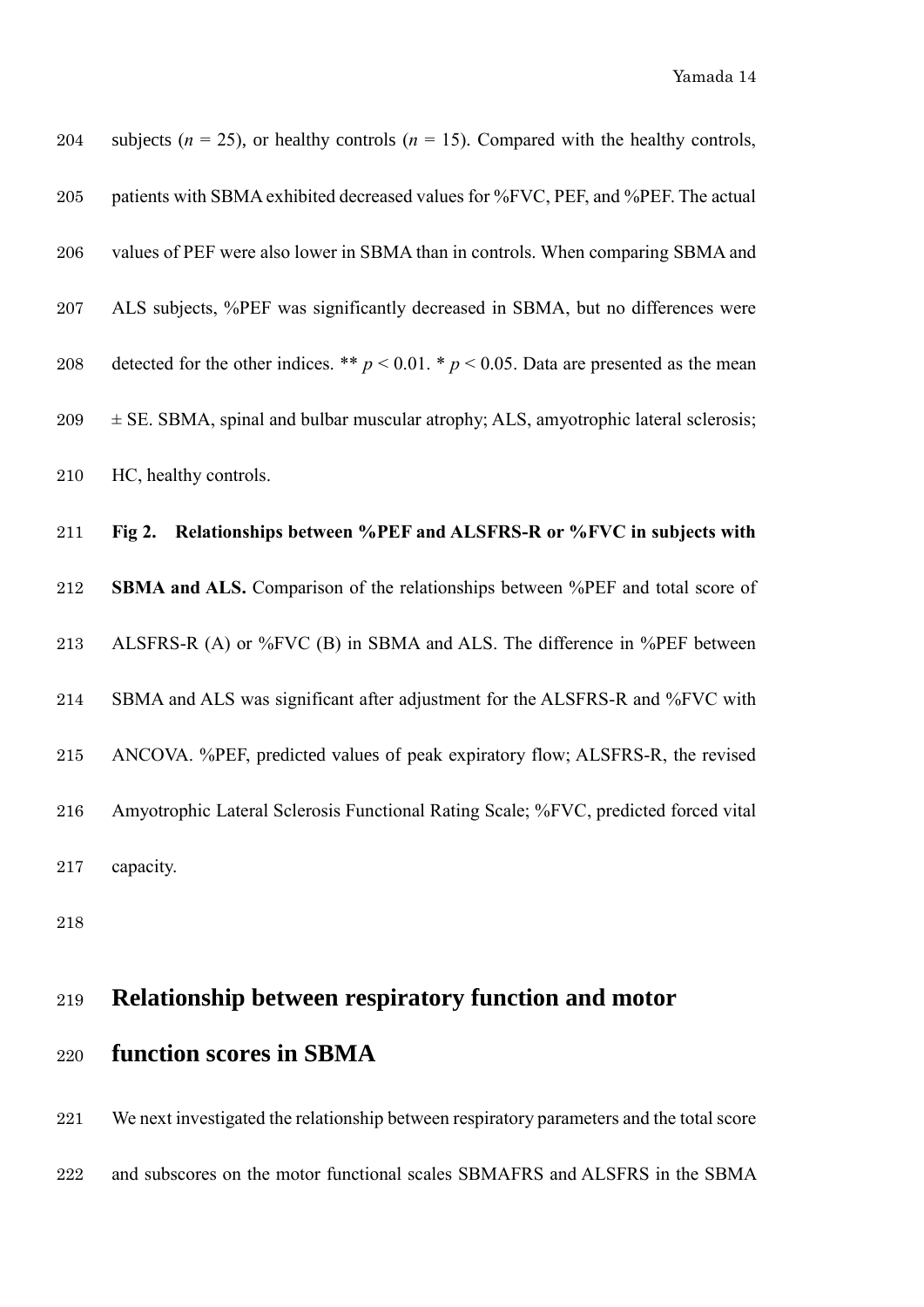| 204          | subjects ( $n = 25$ ), or healthy controls ( $n = 15$ ). Compared with the healthy controls,  |
|--------------|-----------------------------------------------------------------------------------------------|
| $205\,$      | patients with SBMA exhibited decreased values for %FVC, PEF, and %PEF. The actual             |
| $\,206$      | values of PEF were also lower in SBMA than in controls. When comparing SBMA and               |
| $207\,$      | ALS subjects, %PEF was significantly decreased in SBMA, but no differences were               |
| $\,208$      | detected for the other indices. ** $p < 0.01$ . * $p < 0.05$ . Data are presented as the mean |
| 209          | $\pm$ SE. SBMA, spinal and bulbar muscular atrophy; ALS, amyotrophic lateral sclerosis;       |
| 210          | HC, healthy controls.                                                                         |
| $211\,$      | Relationships between %PEF and ALSFRS-R or %FVC in subjects with<br>Fig 2.                    |
| $\sqrt{212}$ | SBMA and ALS. Comparison of the relationships between %PEF and total score of                 |
| 213          | ALSFRS-R (A) or %FVC (B) in SBMA and ALS. The difference in %PEF between                      |
| 214          | SBMA and ALS was significant after adjustment for the ALSFRS-R and %FVC with                  |
| 215          | ANCOVA. %PEF, predicted values of peak expiratory flow; ALSFRS-R, the revised                 |
| 216          | Amyotrophic Lateral Sclerosis Functional Rating Scale; %FVC, predicted forced vital           |
| 217          |                                                                                               |
|              | capacity.                                                                                     |

# **Relationship between respiratory function and motor**

## **function scores in SBMA**

 We next investigated the relationship between respiratory parameters and the total score and subscores on the motor functional scales SBMAFRS and ALSFRS in the SBMA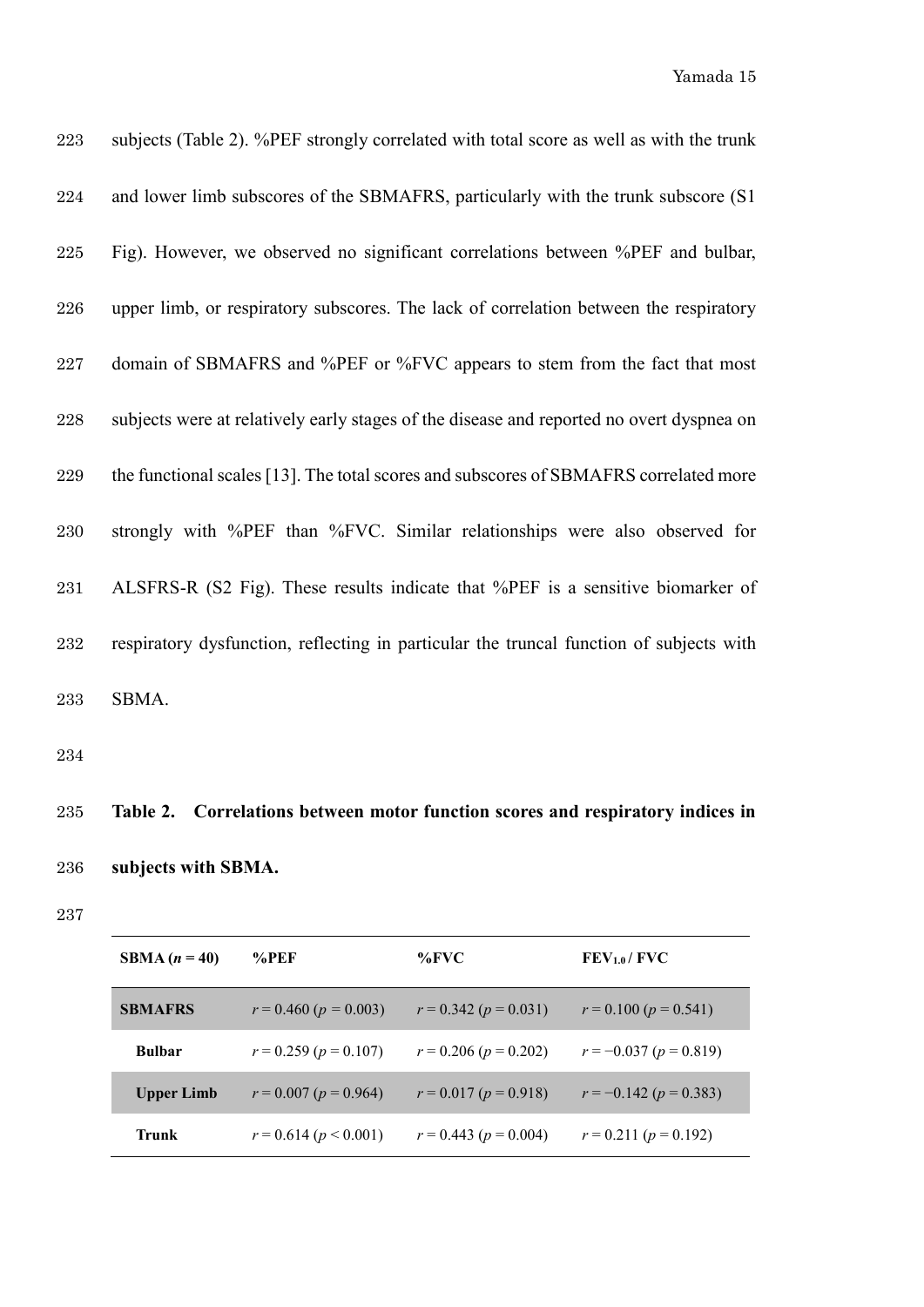| 223     | subjects (Table 2). %PEF strongly correlated with total score as well as with the trunk  |
|---------|------------------------------------------------------------------------------------------|
| 224     | and lower limb subscores of the SBMAFRS, particularly with the trunk subscore (S1)       |
| 225     | Fig). However, we observed no significant correlations between %PEF and bulbar,          |
| 226     | upper limb, or respiratory subscores. The lack of correlation between the respiratory    |
| 227     | domain of SBMAFRS and %PEF or %FVC appears to stem from the fact that most               |
| $228\,$ | subjects were at relatively early stages of the disease and reported no overt dyspnea on |
| 229     | the functional scales [13]. The total scores and subscores of SBMAFRS correlated more    |
| 230     | strongly with %PEF than %FVC. Similar relationships were also observed for               |
| 231     | ALSFRS-R (S2 Fig). These results indicate that %PEF is a sensitive biomarker of          |
| 232     | respiratory dysfunction, reflecting in particular the truncal function of subjects with  |
| 233     | SBMA.                                                                                    |

# **Table 2. Correlations between motor function scores and respiratory indices in subjects with SBMA.**

| SBMA $(n = 40)$   | $\%$ PEF                    | $\%$ FVC                    | FEV <sub>1.0</sub> /FVC      |
|-------------------|-----------------------------|-----------------------------|------------------------------|
| <b>SBMAFRS</b>    | $r = 0.460 (p = 0.003)$     | $r = 0.342$ ( $p = 0.031$ ) | $r = 0.100 (p = 0.541)$      |
| <b>Bulbar</b>     | $r = 0.259$ ( $p = 0.107$ ) | $r = 0.206$ ( $p = 0.202$ ) | $r = -0.037 (p = 0.819)$     |
| <b>Upper Limb</b> | $r = 0.007$ ( $p = 0.964$ ) | $r = 0.017$ ( $p = 0.918$ ) | $r = -0.142$ ( $p = 0.383$ ) |
| Trunk             | $r = 0.614 (p < 0.001)$     | $r = 0.443$ ( $p = 0.004$ ) | $r = 0.211 (p = 0.192)$      |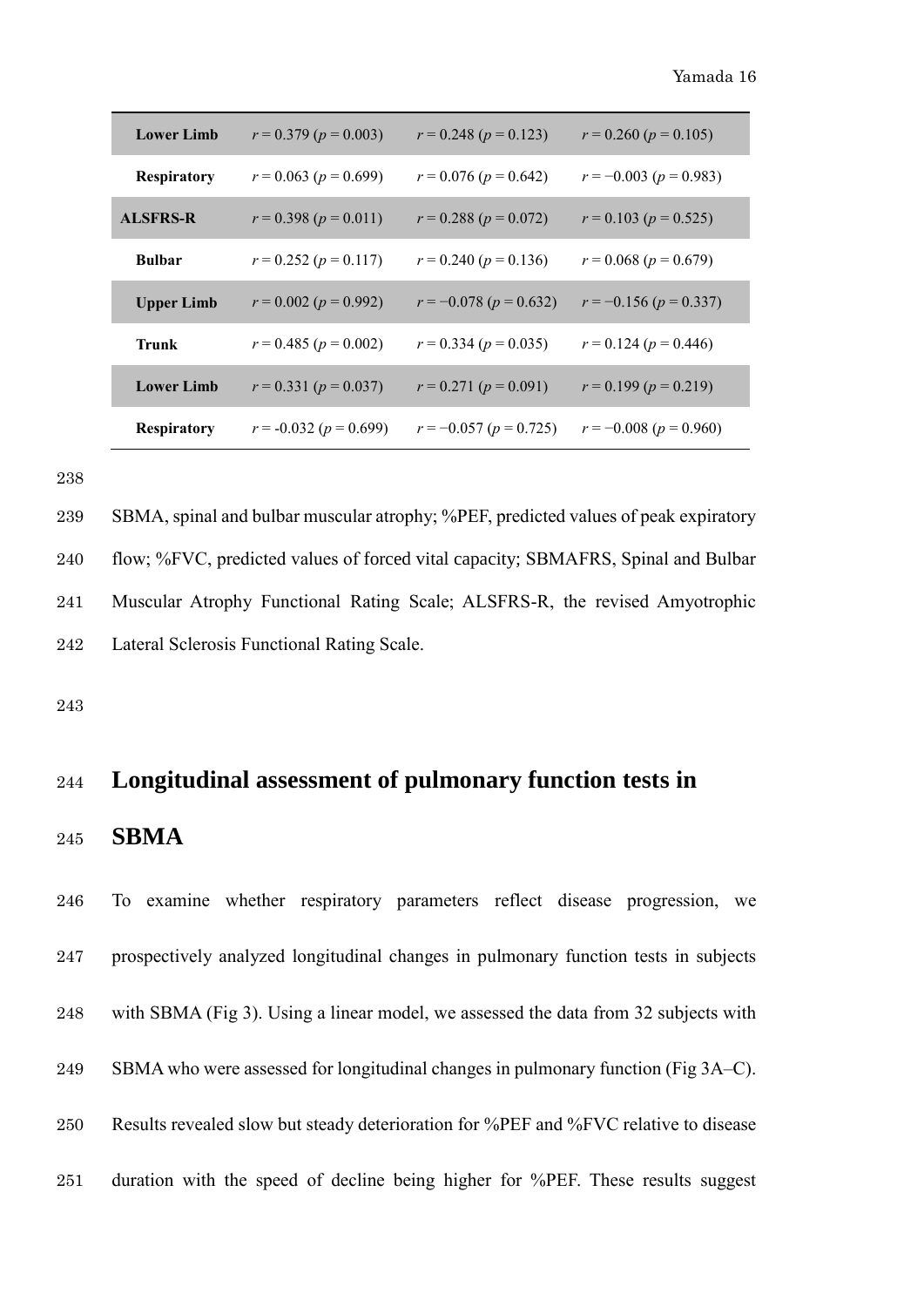| <b>Lower Limb</b>  | $r = 0.379$ ( $p = 0.003$ )  | $r = 0.248$ ( $p = 0.123$ )  | $r = 0.260 (p = 0.105)$      |
|--------------------|------------------------------|------------------------------|------------------------------|
| <b>Respiratory</b> | $r = 0.063$ ( $p = 0.699$ )  | $r = 0.076$ ( $p = 0.642$ )  | $r = -0.003 (p = 0.983)$     |
| <b>ALSFRS-R</b>    | $r = 0.398 (p = 0.011)$      | $r = 0.288 (p = 0.072)$      | $r = 0.103 (p = 0.525)$      |
| <b>Bulbar</b>      | $r = 0.252$ ( $p = 0.117$ )  | $r = 0.240 (p = 0.136)$      | $r = 0.068 (p = 0.679)$      |
| <b>Upper Limb</b>  | $r = 0.002$ ( $p = 0.992$ )  | $r = -0.078$ ( $p = 0.632$ ) | $r = -0.156 (p = 0.337)$     |
| <b>Trunk</b>       | $r = 0.485$ ( $p = 0.002$ )  | $r = 0.334 (p = 0.035)$      | $r = 0.124 (p = 0.446)$      |
| <b>Lower Limb</b>  | $r = 0.331 (p = 0.037)$      | $r = 0.271$ ( $p = 0.091$ )  | $r = 0.199 (p = 0.219)$      |
| <b>Respiratory</b> | $r = -0.032$ ( $p = 0.699$ ) | $r = -0.057$ ( $p = 0.725$ ) | $r = -0.008$ ( $p = 0.960$ ) |

 SBMA, spinal and bulbar muscular atrophy; %PEF, predicted values of peak expiratory flow; %FVC, predicted values of forced vital capacity; SBMAFRS, Spinal and Bulbar Muscular Atrophy Functional Rating Scale; ALSFRS-R, the revised Amyotrophic Lateral Sclerosis Functional Rating Scale.

#### **Longitudinal assessment of pulmonary function tests in**

#### **SBMA**

 To examine whether respiratory parameters reflect disease progression, we prospectively analyzed longitudinal changes in pulmonary function tests in subjects with SBMA (Fig 3). Using a linear model, we assessed the data from 32 subjects with SBMA who were assessed for longitudinal changes in pulmonary function (Fig 3A–C). Results revealed slow but steady deterioration for %PEF and %FVC relative to disease duration with the speed of decline being higher for %PEF. These results suggest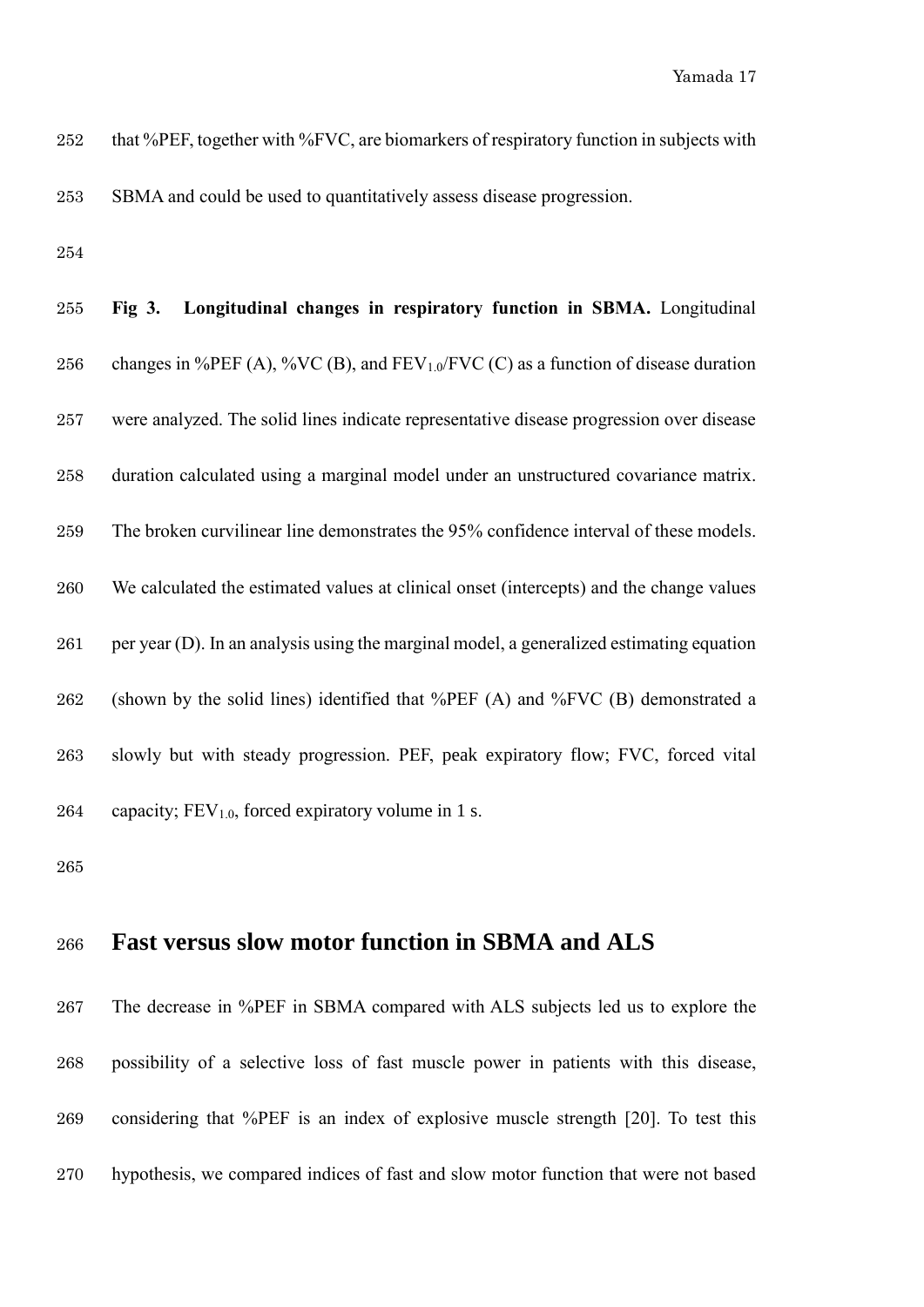| 252 | that %PEF, together with %FVC, are biomarkers of respiratory function in subjects with |
|-----|----------------------------------------------------------------------------------------|
| 253 | SBMA and could be used to quantitatively assess disease progression.                   |

| 255 | Fig 3. Longitudinal changes in respiratory function in SBMA. Longitudinal                 |
|-----|-------------------------------------------------------------------------------------------|
| 256 | changes in %PEF (A), %VC (B), and FEV $_{1.0}$ /FVC (C) as a function of disease duration |
| 257 | were analyzed. The solid lines indicate representative disease progression over disease   |
| 258 | duration calculated using a marginal model under an unstructured covariance matrix.       |
| 259 | The broken curvilinear line demonstrates the 95% confidence interval of these models.     |
| 260 | We calculated the estimated values at clinical onset (intercepts) and the change values   |
| 261 | per year (D). In an analysis using the marginal model, a generalized estimating equation  |
| 262 | (shown by the solid lines) identified that %PEF (A) and %FVC (B) demonstrated a           |
| 263 | slowly but with steady progression. PEF, peak expiratory flow; FVC, forced vital          |
| 264 | capacity; $FEV1.0$ , forced expiratory volume in 1 s.                                     |

## **Fast versus slow motor function in SBMA and ALS**

 The decrease in %PEF in SBMA compared with ALS subjects led us to explore the possibility of a selective loss of fast muscle power in patients with this disease, considering that %PEF is an index of explosive muscle strength [20]. To test this hypothesis, we compared indices of fast and slow motor function that were not based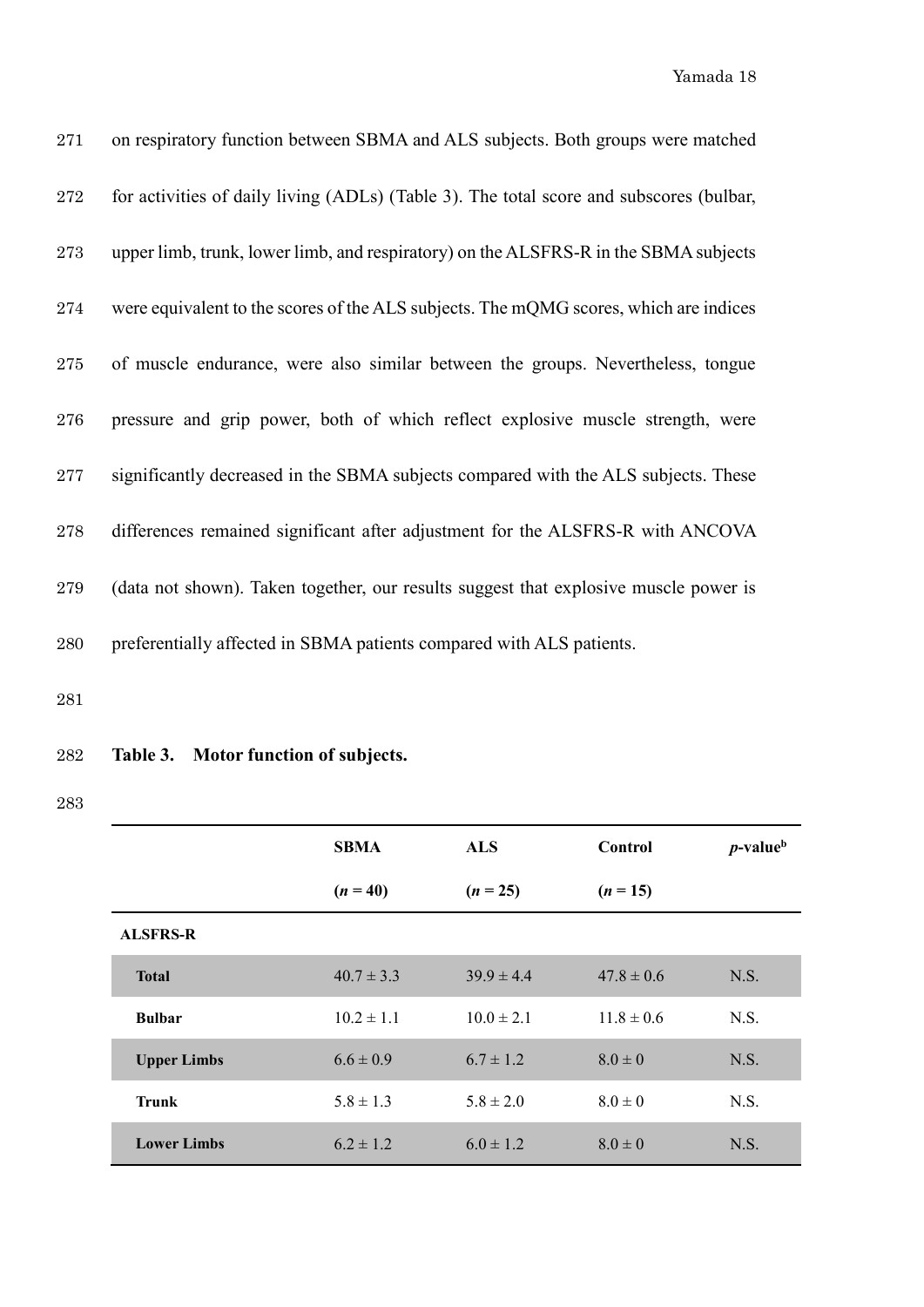| 271 | on respiratory function between SBMA and ALS subjects. Both groups were matched         |
|-----|-----------------------------------------------------------------------------------------|
| 272 | for activities of daily living (ADLs) (Table 3). The total score and subscores (bulbar, |
| 273 | upper limb, trunk, lower limb, and respiratory) on the ALSFRS-R in the SBMA subjects    |
| 274 | were equivalent to the scores of the ALS subjects. The mQMG scores, which are indices   |
| 275 | of muscle endurance, were also similar between the groups. Nevertheless, tongue         |
| 276 | pressure and grip power, both of which reflect explosive muscle strength, were          |
| 277 | significantly decreased in the SBMA subjects compared with the ALS subjects. These      |
| 278 | differences remained significant after adjustment for the ALSFRS-R with ANCOVA          |
| 279 | (data not shown). Taken together, our results suggest that explosive muscle power is    |
| 280 | preferentially affected in SBMA patients compared with ALS patients.                    |

## 282 **Table 3. Motor function of subjects.**

283

|                    | <b>SBMA</b>    | <b>ALS</b>     | <b>Control</b> | $p$ -value <sup>b</sup> |
|--------------------|----------------|----------------|----------------|-------------------------|
|                    | $(n = 40)$     | $(n = 25)$     | $(n = 15)$     |                         |
| <b>ALSFRS-R</b>    |                |                |                |                         |
| <b>Total</b>       | $40.7 \pm 3.3$ | $39.9 \pm 4.4$ | $47.8 \pm 0.6$ | N.S.                    |
| <b>Bulbar</b>      | $10.2 \pm 1.1$ | $10.0 \pm 2.1$ | $11.8 \pm 0.6$ | N.S.                    |
| <b>Upper Limbs</b> | $6.6 \pm 0.9$  | $6.7 \pm 1.2$  | $8.0 \pm 0$    | N.S.                    |
| <b>Trunk</b>       | $5.8 \pm 1.3$  | $5.8 \pm 2.0$  | $8.0 \pm 0$    | N.S.                    |
| <b>Lower Limbs</b> | $6.2 \pm 1.2$  | $6.0 \pm 1.2$  | $8.0 \pm 0$    | N.S.                    |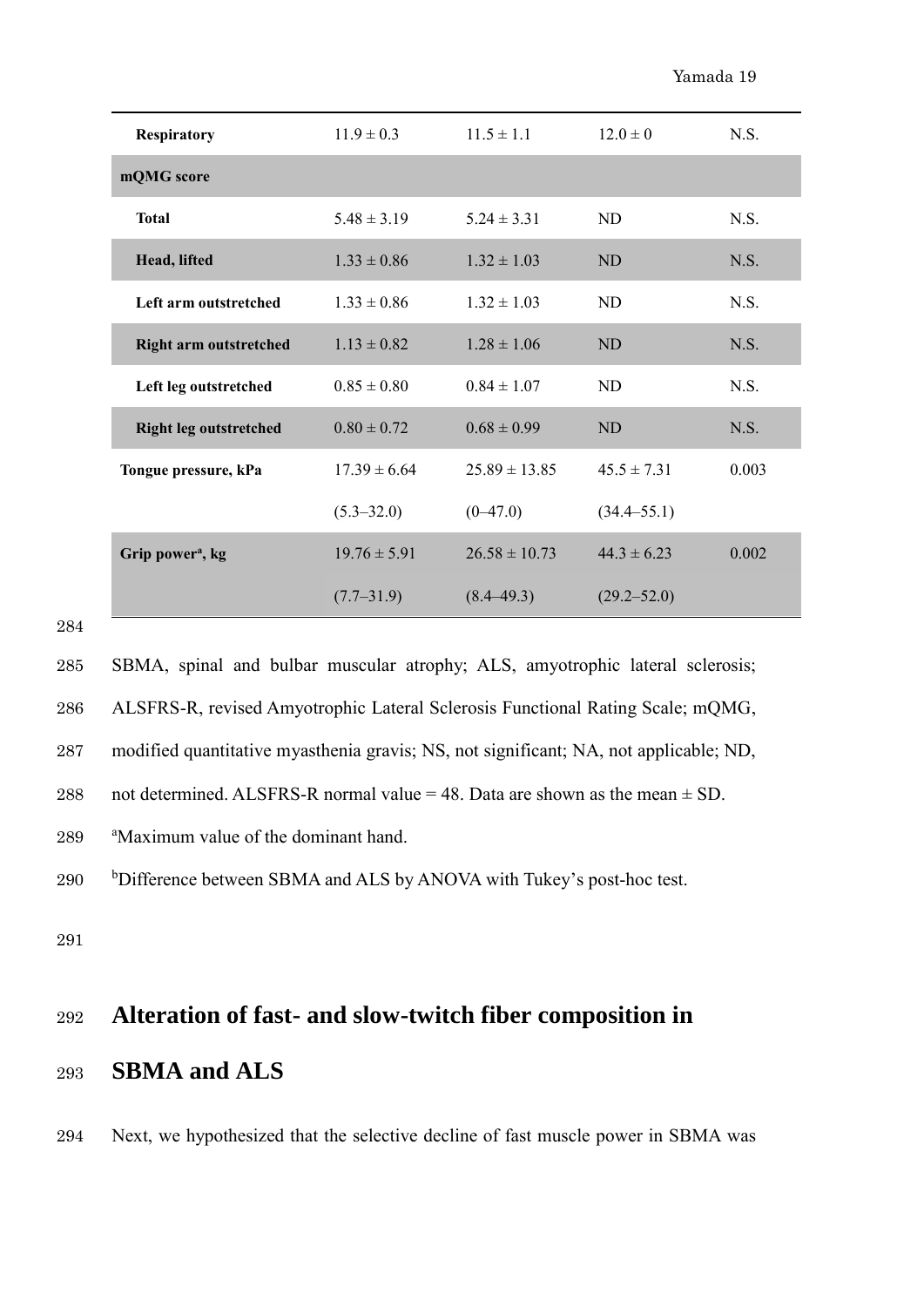| Respiratory                   | $11.9 \pm 0.3$   | $11.5 \pm 1.1$    | $12.0 \pm 0$    | N.S.  |
|-------------------------------|------------------|-------------------|-----------------|-------|
| mQMG score                    |                  |                   |                 |       |
| <b>Total</b>                  | $5.48 \pm 3.19$  | $5.24 \pm 3.31$   | ND              | N.S.  |
| Head, lifted                  | $1.33 \pm 0.86$  | $1.32 \pm 1.03$   | <b>ND</b>       | N.S.  |
| Left arm outstretched         | $1.33 \pm 0.86$  | $1.32 \pm 1.03$   | ND.             | N.S.  |
| <b>Right arm outstretched</b> | $1.13 \pm 0.82$  | $1.28 \pm 1.06$   | <b>ND</b>       | N.S.  |
| Left leg outstretched         | $0.85 \pm 0.80$  | $0.84 \pm 1.07$   | ND              | N.S.  |
| <b>Right leg outstretched</b> | $0.80 \pm 0.72$  | $0.68 \pm 0.99$   | ND              | N.S.  |
| Tongue pressure, kPa          | $17.39 \pm 6.64$ | $25.89 \pm 13.85$ | $45.5 \pm 7.31$ | 0.003 |
|                               | $(5.3 - 32.0)$   | $(0-47.0)$        | $(34.4 - 55.1)$ |       |
| Grip power <sup>a</sup> , kg  | $19.76 \pm 5.91$ | $26.58 \pm 10.73$ | $44.3 \pm 6.23$ | 0.002 |
|                               | $(7.7-31.9)$     | $(8.4 - 49.3)$    | $(29.2 - 52.0)$ |       |

285 SBMA, spinal and bulbar muscular atrophy; ALS, amyotrophic lateral sclerosis;

286 ALSFRS-R, revised Amyotrophic Lateral Sclerosis Functional Rating Scale; mQMG,

287 modified quantitative myasthenia gravis; NS, not significant; NA, not applicable; ND,

288 not determined. ALSFRS-R normal value = 48. Data are shown as the mean  $\pm$  SD.

289 aMaximum value of the dominant hand.

<sup>b</sup>Difference between SBMA and ALS by ANOVA with Tukey's post-hoc test.

291

# <sup>292</sup> **Alteration of fast- and slow-twitch fiber composition in**

## <sup>293</sup> **SBMA and ALS**

294 Next, we hypothesized that the selective decline of fast muscle power in SBMA was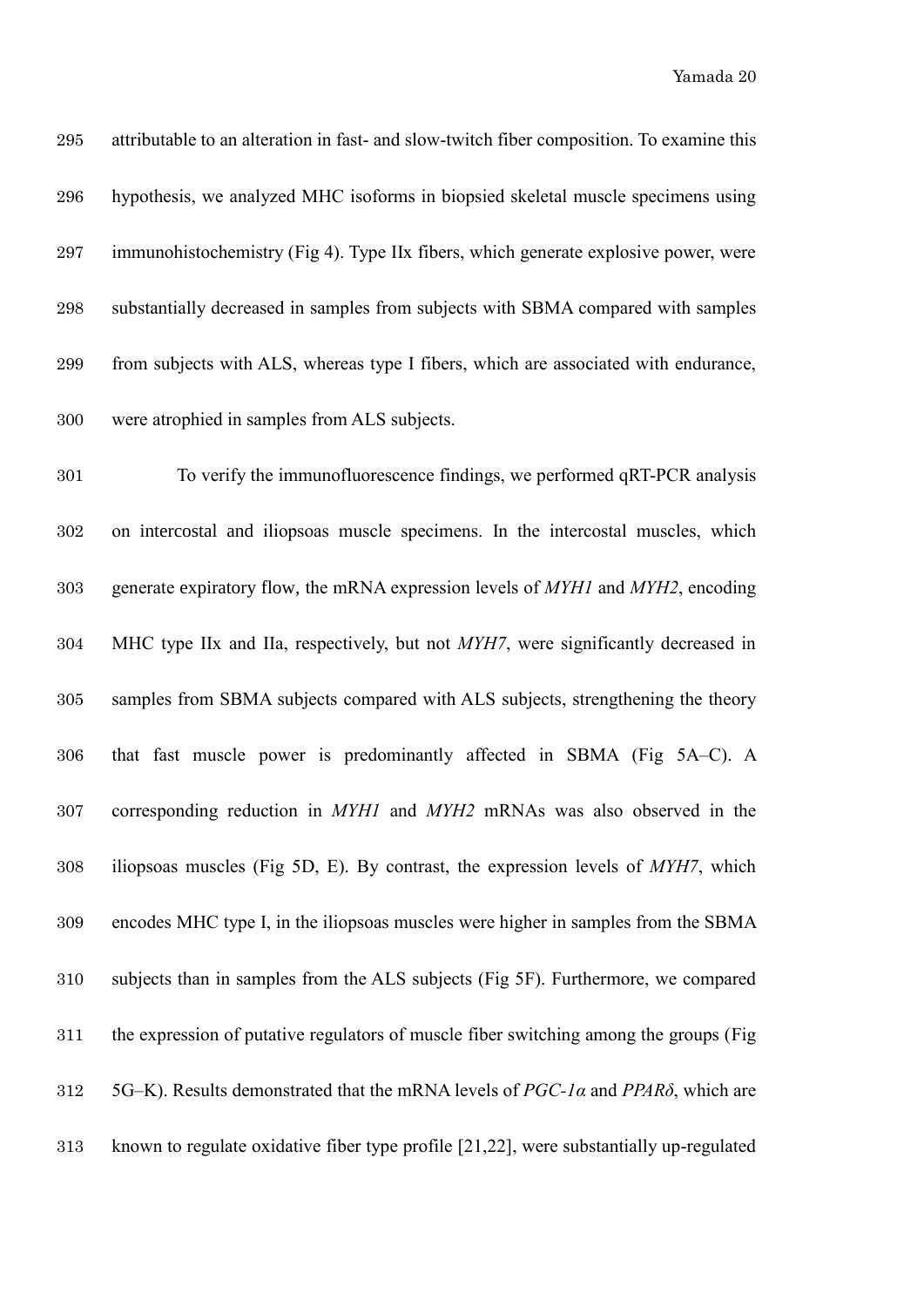Yamada 20

| 295     | attributable to an alteration in fast- and slow-twitch fiber composition. To examine this           |
|---------|-----------------------------------------------------------------------------------------------------|
| 296     | hypothesis, we analyzed MHC isoforms in biopsied skeletal muscle specimens using                    |
| 297     | immunohistochemistry (Fig 4). Type IIx fibers, which generate explosive power, were                 |
| 298     | substantially decreased in samples from subjects with SBMA compared with samples                    |
| 299     | from subjects with ALS, whereas type I fibers, which are associated with endurance,                 |
| 300     | were atrophied in samples from ALS subjects.                                                        |
| 301     | To verify the immunofluorescence findings, we performed qRT-PCR analysis                            |
| 302     | on intercostal and iliopsoas muscle specimens. In the intercostal muscles, which                    |
| $303\,$ | generate expiratory flow, the mRNA expression levels of MYH1 and MYH2, encoding                     |
| 304     | MHC type IIx and IIa, respectively, but not MYH7, were significantly decreased in                   |
| 305     | samples from SBMA subjects compared with ALS subjects, strengthening the theory                     |
| 306     | that fast muscle power is predominantly affected in SBMA (Fig 5A–C). A                              |
| 307     | corresponding reduction in MYH1 and MYH2 mRNAs was also observed in the                             |
| 308     | iliopsoas muscles (Fig 5D, E). By contrast, the expression levels of MYH7, which                    |
| 309     | encodes MHC type I, in the iliopsoas muscles were higher in samples from the SBMA                   |
| 310     | subjects than in samples from the ALS subjects (Fig 5F). Furthermore, we compared                   |
| 311     | the expression of putative regulators of muscle fiber switching among the groups (Fig               |
| 312     | 5G-K). Results demonstrated that the mRNA levels of $PGC$ -1 $\alpha$ and PPAR $\delta$ , which are |
|         |                                                                                                     |

known to regulate oxidative fiber type profile [21,22], were substantially up-regulated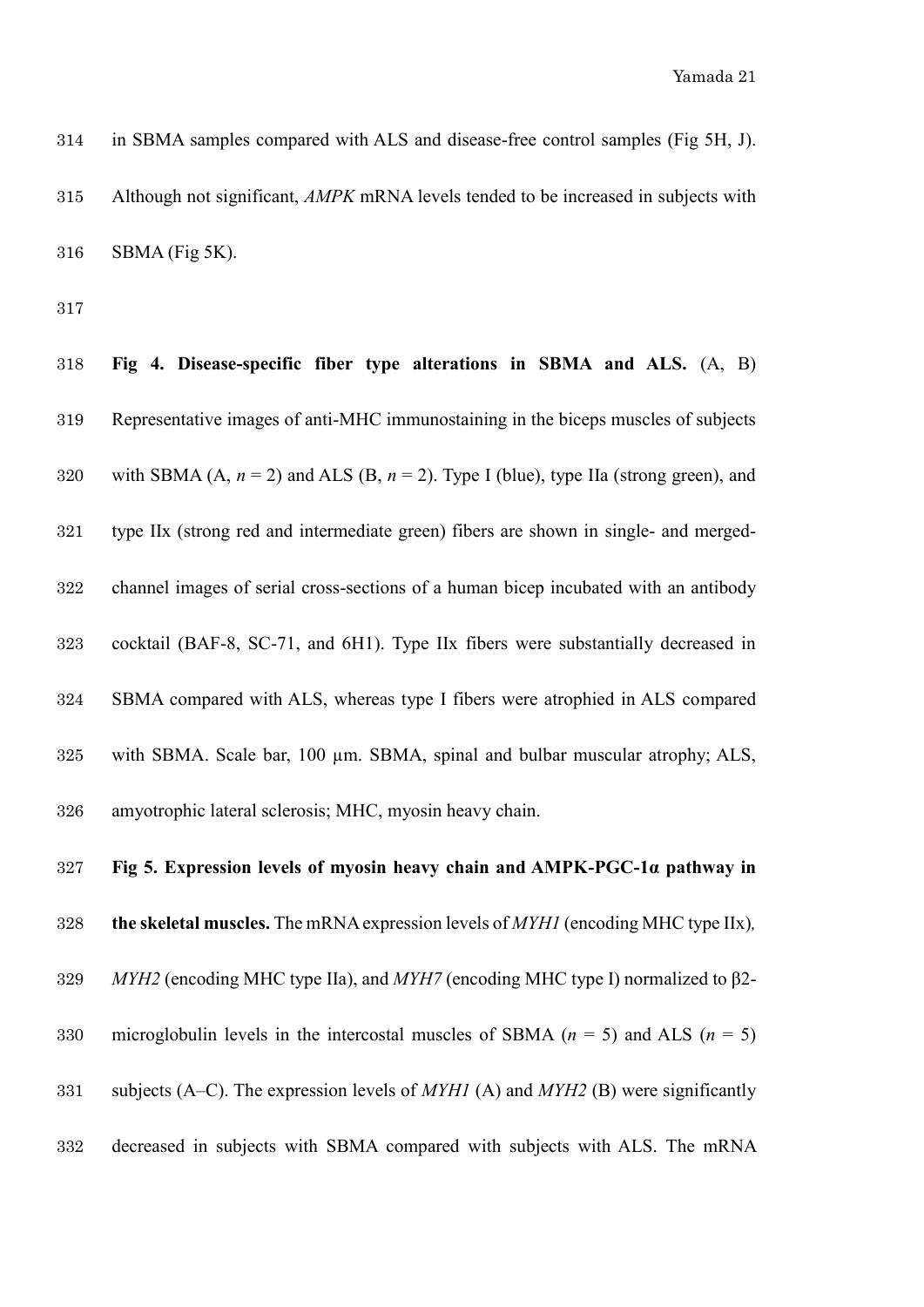in SBMA samples compared with ALS and disease-free control samples (Fig 5H, J). Although not significant, *AMPK* mRNA levels tended to be increased in subjects with SBMA (Fig 5K).

 **Fig 4. Disease-specific fiber type alterations in SBMA and ALS.** (A, B) Representative images of anti-MHC immunostaining in the biceps muscles of subjects 320 with SBMA  $(A, n = 2)$  and ALS  $(B, n = 2)$ . Type I (blue), type IIa (strong green), and type IIx (strong red and intermediate green) fibers are shown in single- and merged- channel images of serial cross-sections of a human bicep incubated with an antibody cocktail (BAF-8, SC-71, and 6H1). Type IIx fibers were substantially decreased in SBMA compared with ALS, whereas type I fibers were atrophied in ALS compared with SBMA. Scale bar, 100 µm. SBMA, spinal and bulbar muscular atrophy; ALS, amyotrophic lateral sclerosis; MHC, myosin heavy chain.

 **Fig 5. Expression levels of myosin heavy chain and AMPK-PGC-1α pathway in the skeletal muscles.** The mRNA expression levels of *MYH1* (encoding MHC type IIx)*, MYH2* (encoding MHC type IIa), and *MYH7* (encoding MHC type I) normalized to β2- microglobulin levels in the intercostal muscles of SBMA (*n* = 5) and ALS (*n* = 5) subjects (A–C). The expression levels of *MYH1* (A) and *MYH2* (B) were significantly decreased in subjects with SBMA compared with subjects with ALS. The mRNA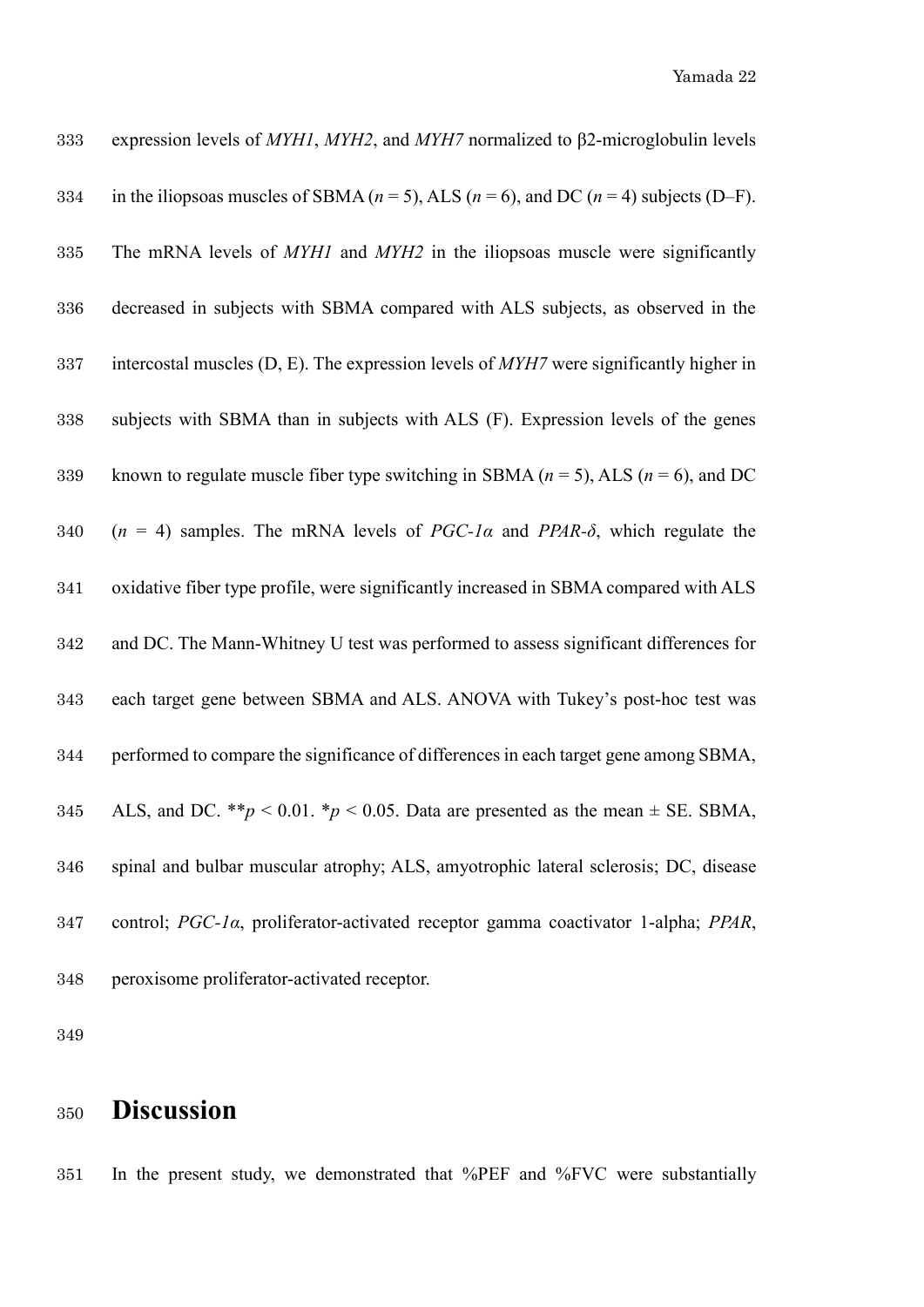| 333 | expression levels of $MYH1$ , $MYH2$ , and $MYH7$ normalized to $\beta$ 2-microglobulin levels    |
|-----|---------------------------------------------------------------------------------------------------|
| 334 | in the iliopsoas muscles of SBMA ( $n = 5$ ), ALS ( $n = 6$ ), and DC ( $n = 4$ ) subjects (D–F). |
| 335 | The mRNA levels of MYH1 and MYH2 in the iliopsoas muscle were significantly                       |
| 336 | decreased in subjects with SBMA compared with ALS subjects, as observed in the                    |
| 337 | intercostal muscles $(D, E)$ . The expression levels of $MYH7$ were significantly higher in       |
| 338 | subjects with SBMA than in subjects with ALS (F). Expression levels of the genes                  |
| 339 | known to regulate muscle fiber type switching in SBMA ( $n = 5$ ), ALS ( $n = 6$ ), and DC        |
| 340 | $(n = 4)$ samples. The mRNA levels of PGC-1 $\alpha$ and PPAR- $\delta$ , which regulate the      |
| 341 | oxidative fiber type profile, were significantly increased in SBMA compared with ALS              |
| 342 | and DC. The Mann-Whitney U test was performed to assess significant differences for               |
| 343 | each target gene between SBMA and ALS. ANOVA with Tukey's post-hoc test was                       |
| 344 | performed to compare the significance of differences in each target gene among SBMA,              |
| 345 | ALS, and DC. **p < 0.01. *p < 0.05. Data are presented as the mean $\pm$ SE. SBMA,                |
| 346 | spinal and bulbar muscular atrophy; ALS, amyotrophic lateral sclerosis; DC, disease               |
| 347 | control; PGC-1a, proliferator-activated receptor gamma coactivator 1-alpha; PPAR,                 |
| 348 | peroxisome proliferator-activated receptor.                                                       |

# **Discussion**

In the present study, we demonstrated that %PEF and %FVC were substantially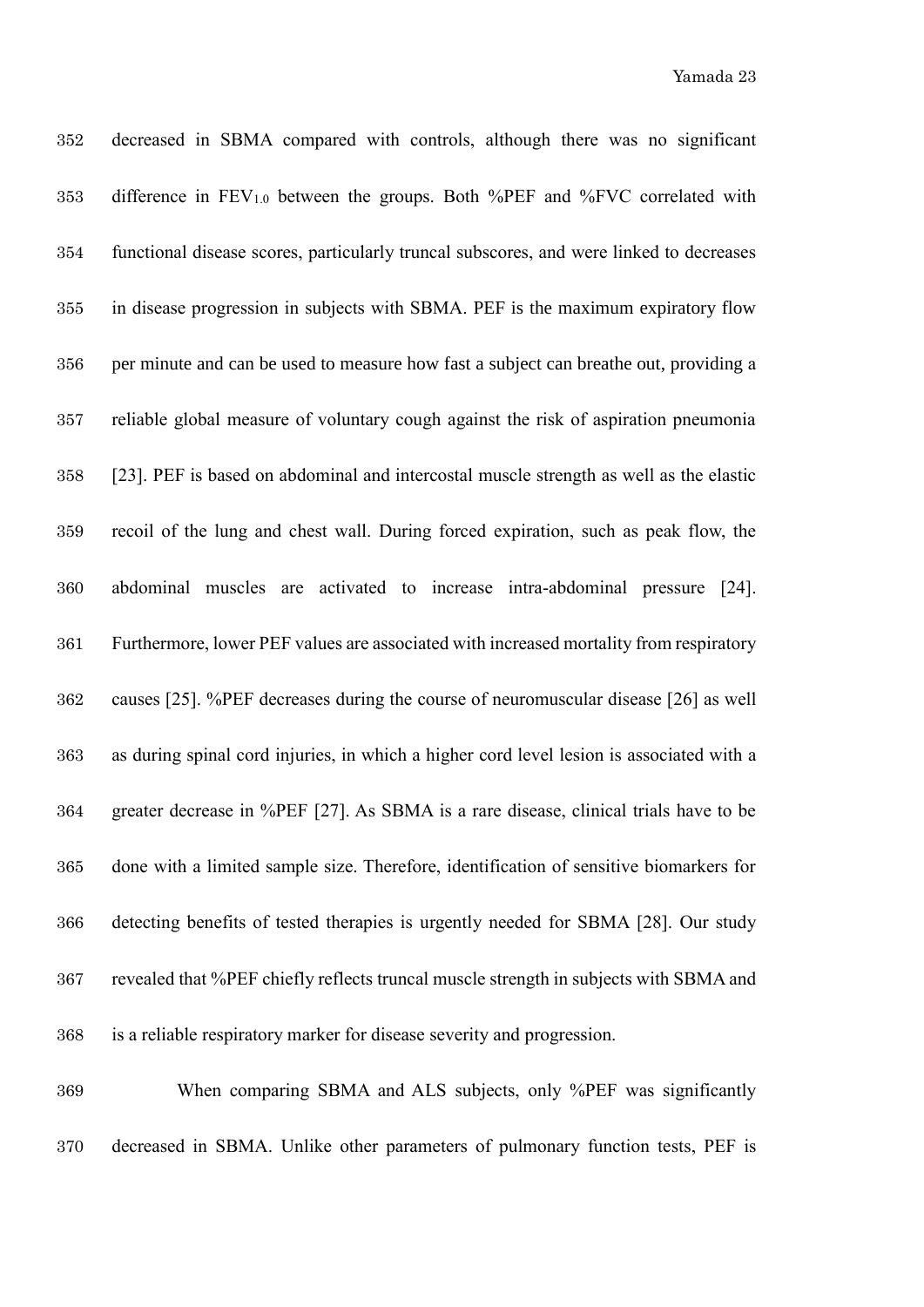decreased in SBMA compared with controls, although there was no significant 353 difference in  $FEV_{1,0}$  between the groups. Both %PEF and %FVC correlated with functional disease scores, particularly truncal subscores, and were linked to decreases in disease progression in subjects with SBMA. PEF is the maximum expiratory flow per minute and can be used to measure how fast a subject can breathe out, providing a reliable global measure of voluntary cough against the risk of aspiration pneumonia [23]. PEF is based on abdominal and intercostal muscle strength as well as the elastic recoil of the lung and chest wall. During forced expiration, such as peak flow, the abdominal muscles are activated to increase intra-abdominal pressure [24]. Furthermore, lower PEF values are associated with increased mortality from respiratory causes [25]. %PEF decreases during the course of neuromuscular disease [26] as well as during spinal cord injuries, in which a higher cord level lesion is associated with a greater decrease in %PEF [27]. As SBMA is a rare disease, clinical trials have to be done with a limited sample size. Therefore, identification of sensitive biomarkers for detecting benefits of tested therapies is urgently needed for SBMA [28]. Our study revealed that %PEF chiefly reflects truncal muscle strength in subjects with SBMA and is a reliable respiratory marker for disease severity and progression.

 When comparing SBMA and ALS subjects, only %PEF was significantly decreased in SBMA. Unlike other parameters of pulmonary function tests, PEF is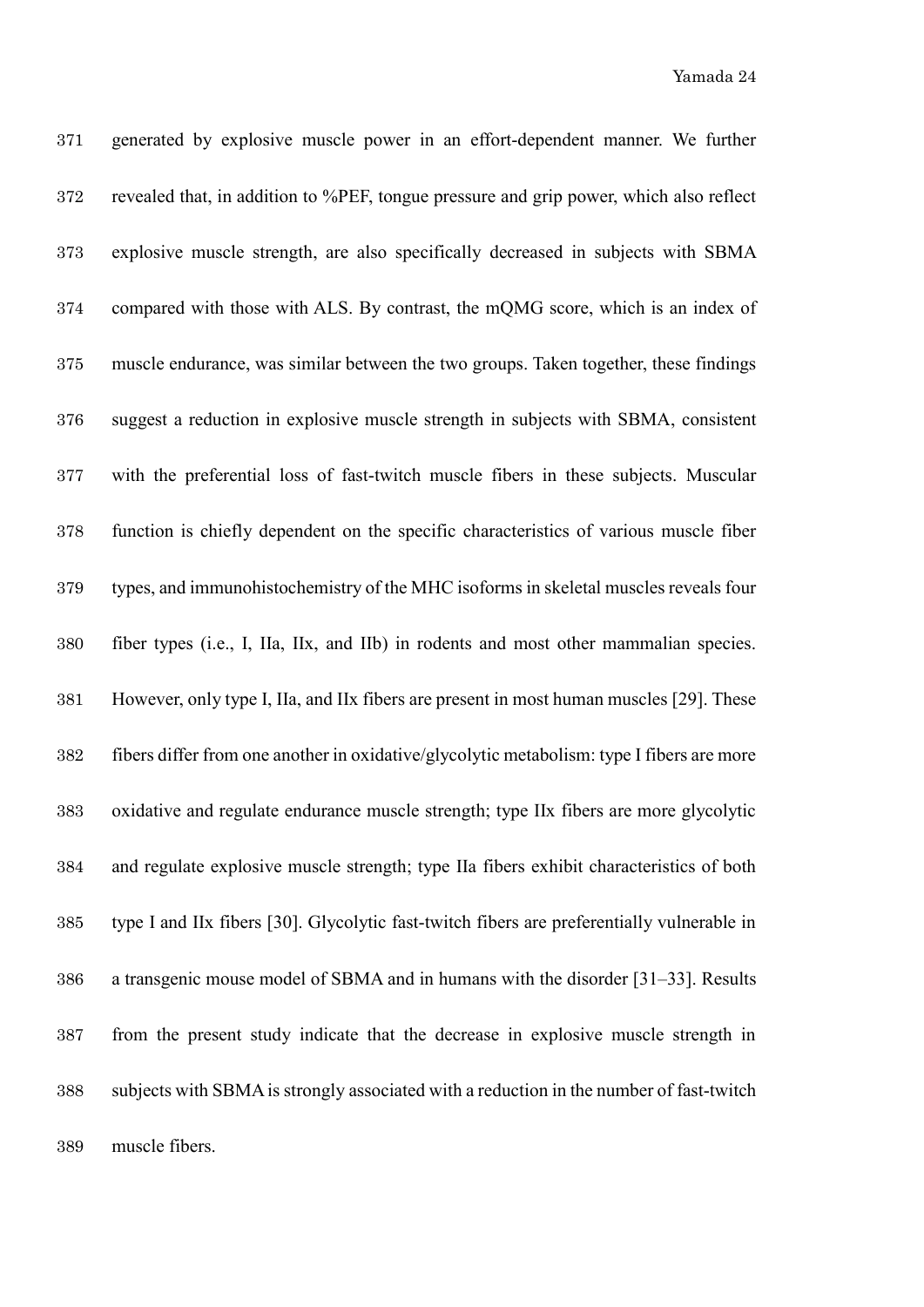generated by explosive muscle power in an effort-dependent manner. We further revealed that, in addition to %PEF, tongue pressure and grip power, which also reflect explosive muscle strength, are also specifically decreased in subjects with SBMA compared with those with ALS. By contrast, the mQMG score, which is an index of muscle endurance, was similar between the two groups. Taken together, these findings suggest a reduction in explosive muscle strength in subjects with SBMA, consistent with the preferential loss of fast-twitch muscle fibers in these subjects. Muscular function is chiefly dependent on the specific characteristics of various muscle fiber types, and immunohistochemistry of the MHC isoforms in skeletal muscles reveals four fiber types (i.e., I, IIa, IIx, and IIb) in rodents and most other mammalian species. However, only type I, IIa, and IIx fibers are present in most human muscles [29]. These fibers differ from one another in oxidative/glycolytic metabolism: type I fibers are more oxidative and regulate endurance muscle strength; type IIx fibers are more glycolytic and regulate explosive muscle strength; type IIa fibers exhibit characteristics of both type I and IIx fibers [30]. Glycolytic fast-twitch fibers are preferentially vulnerable in a transgenic mouse model of SBMA and in humans with the disorder [31–33]. Results from the present study indicate that the decrease in explosive muscle strength in subjects with SBMA is strongly associated with a reduction in the number of fast-twitch muscle fibers.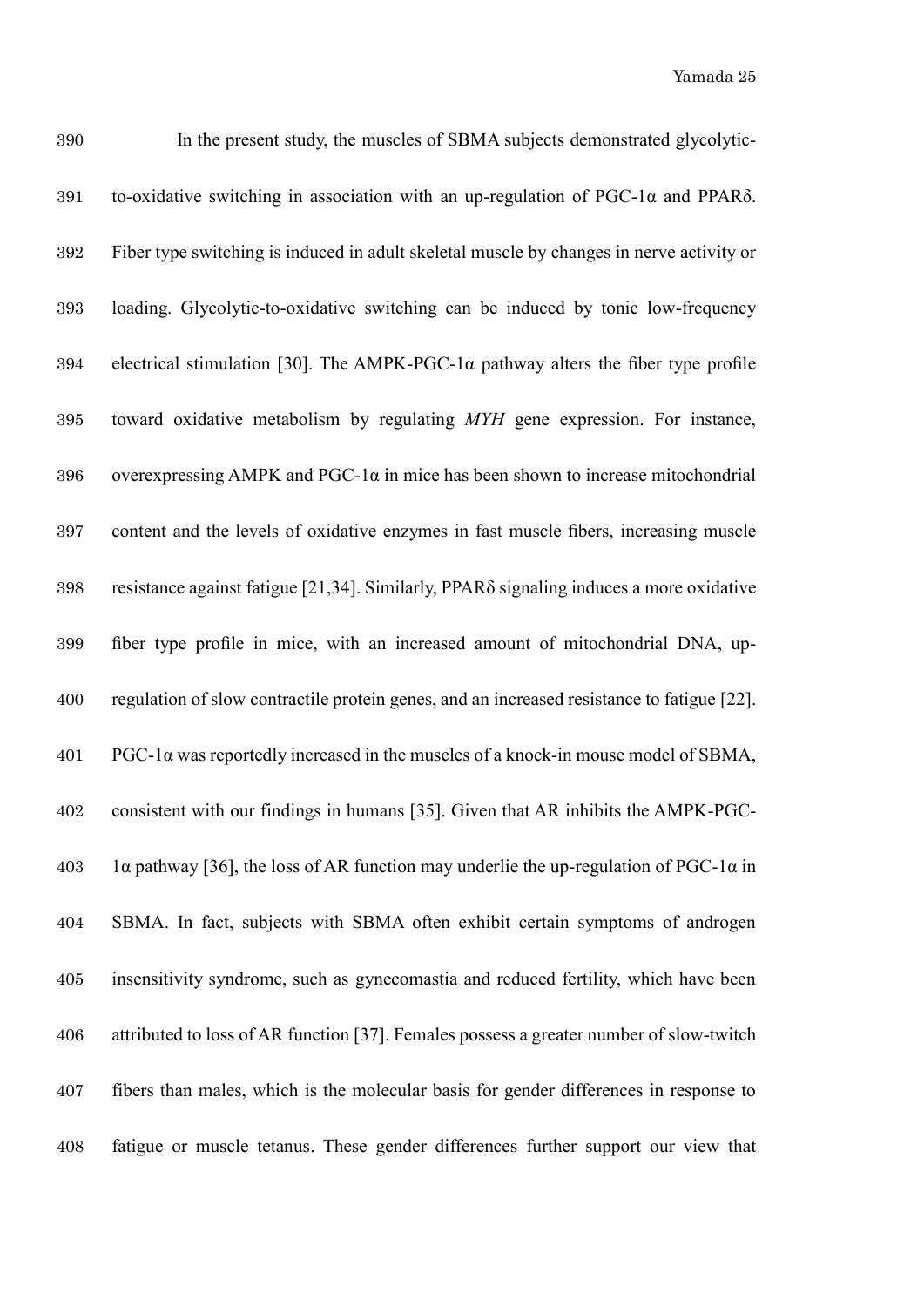| 390 | In the present study, the muscles of SBMA subjects demonstrated glycolytic-                     |
|-----|-------------------------------------------------------------------------------------------------|
| 391 | to-oxidative switching in association with an up-regulation of $PGC-1\alpha$ and $PPAR\delta$ . |
| 392 | Fiber type switching is induced in adult skeletal muscle by changes in nerve activity or        |
| 393 | loading. Glycolytic-to-oxidative switching can be induced by tonic low-frequency                |
| 394 | electrical stimulation [30]. The AMPK-PGC-1 $\alpha$ pathway alters the fiber type profile      |
| 395 | toward oxidative metabolism by regulating MYH gene expression. For instance,                    |
| 396 | overexpressing AMPK and PGC-1 $\alpha$ in mice has been shown to increase mitochondrial         |
| 397 | content and the levels of oxidative enzymes in fast muscle fibers, increasing muscle            |
| 398 | resistance against fatigue [21,34]. Similarly, PPARS signaling induces a more oxidative         |
| 399 | fiber type profile in mice, with an increased amount of mitochondrial DNA, up-                  |
| 400 | regulation of slow contractile protein genes, and an increased resistance to fatigue [22].      |
| 401 | $PGC-1\alpha$ was reportedly increased in the muscles of a knock-in mouse model of SBMA,        |
| 402 | consistent with our findings in humans [35]. Given that AR inhibits the AMPK-PGC-               |
| 403 | la pathway [36], the loss of AR function may underlie the up-regulation of PGC-1 $\alpha$ in    |
| 404 | SBMA. In fact, subjects with SBMA often exhibit certain symptoms of androgen                    |
| 405 | insensitivity syndrome, such as gynecomastia and reduced fertility, which have been             |
| 406 | attributed to loss of AR function [37]. Females possess a greater number of slow-twitch         |
| 407 | fibers than males, which is the molecular basis for gender differences in response to           |
| 408 | fatigue or muscle tetanus. These gender differences further support our view that               |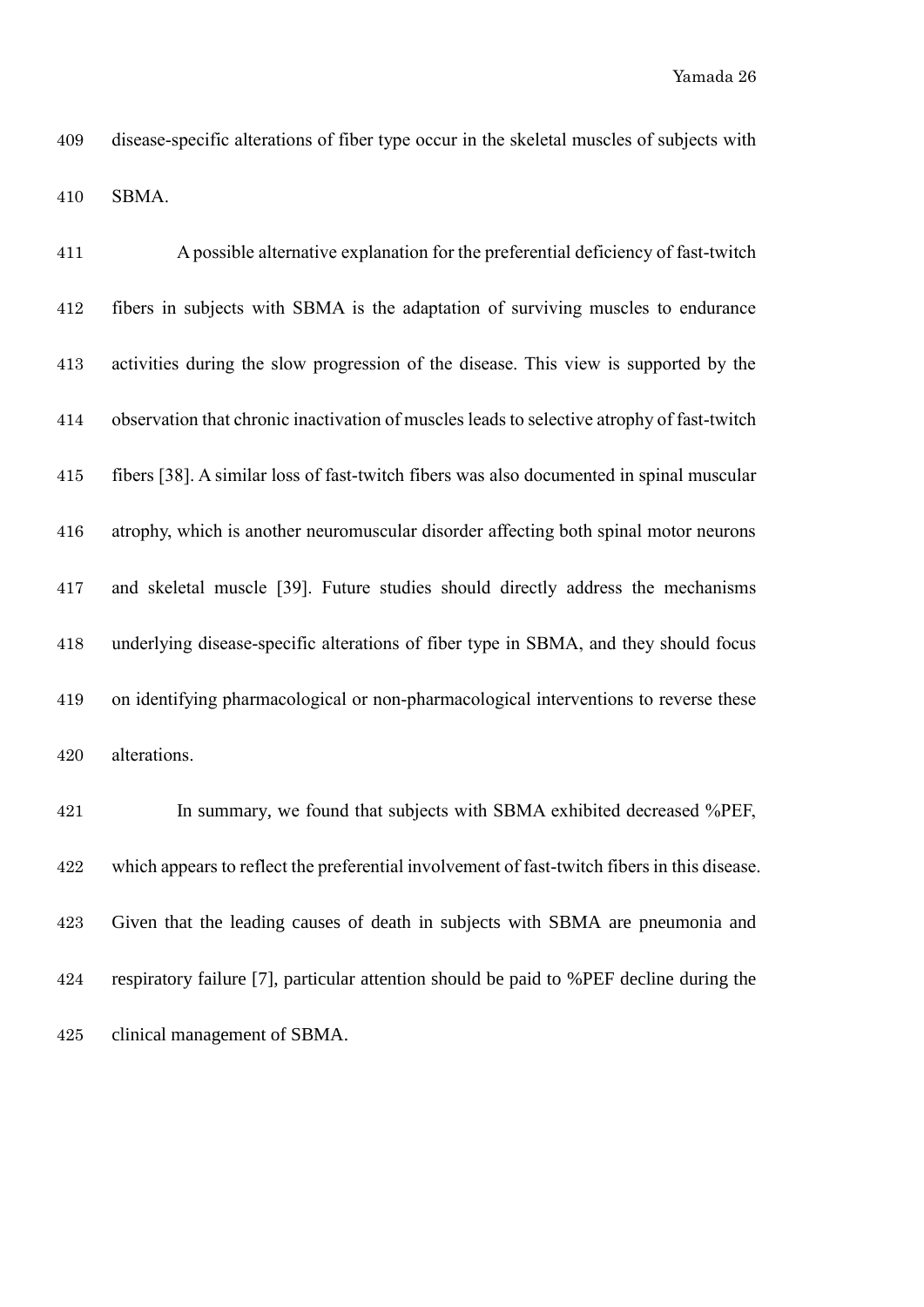| 411 | A possible alternative explanation for the preferential deficiency of fast-twitch          |
|-----|--------------------------------------------------------------------------------------------|
| 412 | fibers in subjects with SBMA is the adaptation of surviving muscles to endurance           |
| 413 | activities during the slow progression of the disease. This view is supported by the       |
| 414 | observation that chronic inactivation of muscles leads to selective atrophy of fast-twitch |
| 415 | fibers [38]. A similar loss of fast-twitch fibers was also documented in spinal muscular   |
| 416 | atrophy, which is another neuromuscular disorder affecting both spinal motor neurons       |
| 417 | and skeletal muscle [39]. Future studies should directly address the mechanisms            |
| 418 | underlying disease-specific alterations of fiber type in SBMA, and they should focus       |
| 419 | on identifying pharmacological or non-pharmacological interventions to reverse these       |
| 420 | alterations.                                                                               |

 In summary, we found that subjects with SBMA exhibited decreased %PEF, which appears to reflect the preferential involvement of fast-twitch fibers in this disease. Given that the leading causes of death in subjects with SBMA are pneumonia and respiratory failure [7], particular attention should be paid to %PEF decline during the clinical management of SBMA.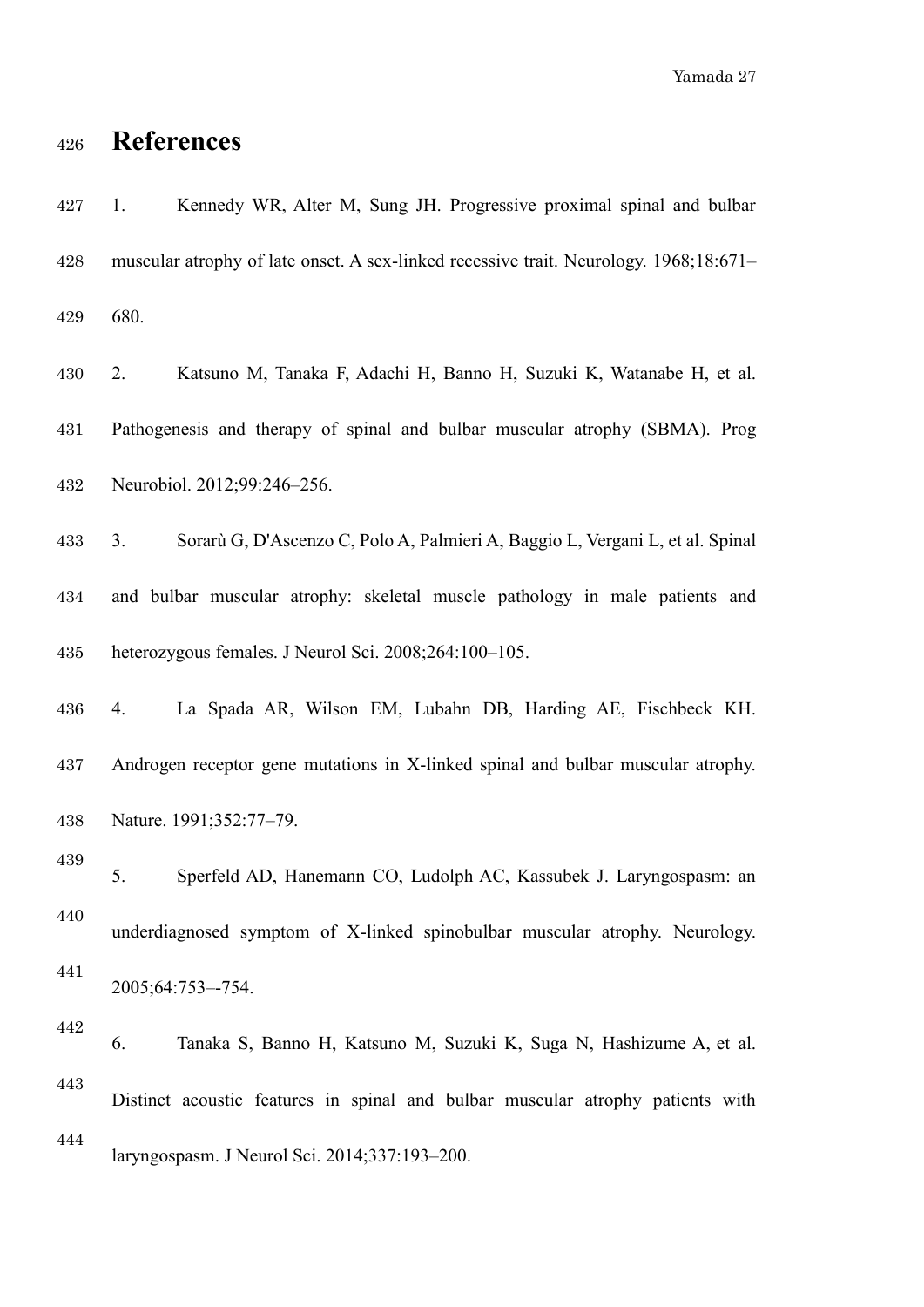Yamada 27

# **References**

| 427 | Kennedy WR, Alter M, Sung JH. Progressive proximal spinal and bulbar<br>1.            |
|-----|---------------------------------------------------------------------------------------|
| 428 | muscular atrophy of late onset. A sex-linked recessive trait. Neurology. 1968;18:671- |
| 429 | 680.                                                                                  |
| 430 | Katsuno M, Tanaka F, Adachi H, Banno H, Suzuki K, Watanabe H, et al.<br>2.            |
| 431 | Pathogenesis and therapy of spinal and bulbar muscular atrophy (SBMA). Prog           |
| 432 | Neurobiol. 2012;99:246-256.                                                           |
| 433 | Sorarù G, D'Ascenzo C, Polo A, Palmieri A, Baggio L, Vergani L, et al. Spinal<br>3.   |
| 434 | and bulbar muscular atrophy: skeletal muscle pathology in male patients and           |
| 435 | heterozygous females. J Neurol Sci. 2008;264:100-105.                                 |
| 436 | La Spada AR, Wilson EM, Lubahn DB, Harding AE, Fischbeck KH.<br>4.                    |
| 437 | Androgen receptor gene mutations in X-linked spinal and bulbar muscular atrophy.      |
| 438 | Nature. 1991;352:77-79.                                                               |
| 439 | 5.<br>Sperfeld AD, Hanemann CO, Ludolph AC, Kassubek J. Laryngospasm: an              |
| 440 | underdiagnosed symptom of X-linked spinobulbar muscular atrophy. Neurology.           |
| 441 | 2005;64:753--754.                                                                     |
| 442 | 6.<br>Tanaka S, Banno H, Katsuno M, Suzuki K, Suga N, Hashizume A, et al.             |
| 443 | Distinct acoustic features in spinal and bulbar muscular atrophy patients with        |
| 444 | laryngospasm. J Neurol Sci. 2014;337:193-200.                                         |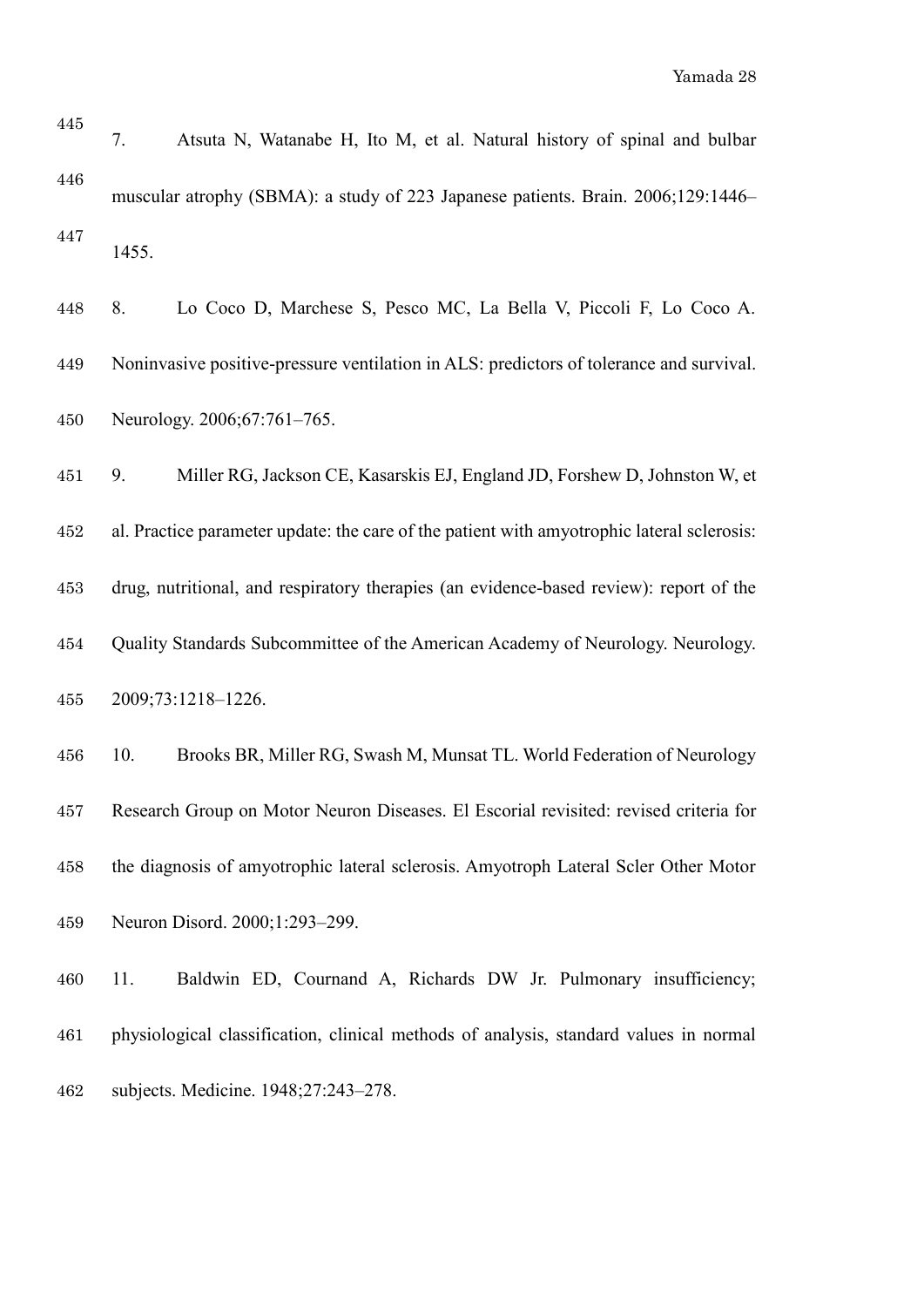| 445 | Atsuta N, Watanabe H, Ito M, et al. Natural history of spinal and bulbar<br>7.             |
|-----|--------------------------------------------------------------------------------------------|
| 446 | muscular atrophy (SBMA): a study of 223 Japanese patients. Brain. 2006;129:1446–           |
| 447 | 1455.                                                                                      |
| 448 | Lo Coco D, Marchese S, Pesco MC, La Bella V, Piccoli F, Lo Coco A.<br>8.                   |
| 449 | Noninvasive positive-pressure ventilation in ALS: predictors of tolerance and survival.    |
| 450 | Neurology. 2006;67:761-765.                                                                |
| 451 | Miller RG, Jackson CE, Kasarskis EJ, England JD, Forshew D, Johnston W, et<br>9.           |
| 452 | al. Practice parameter update: the care of the patient with amyotrophic lateral sclerosis: |
| 453 | drug, nutritional, and respiratory therapies (an evidence-based review): report of the     |
| 454 | Quality Standards Subcommittee of the American Academy of Neurology. Neurology.            |
| 455 | 2009;73:1218-1226.                                                                         |
| 456 | Brooks BR, Miller RG, Swash M, Munsat TL. World Federation of Neurology<br>10.             |
| 457 | Research Group on Motor Neuron Diseases. El Escorial revisited: revised criteria for       |
| 458 | the diagnosis of amyotrophic lateral sclerosis. Amyotroph Lateral Scler Other Motor        |
| 459 | Neuron Disord. 2000;1:293-299.                                                             |
| 460 | Baldwin ED, Cournand A, Richards DW Jr. Pulmonary insufficiency;<br>11.                    |
| 461 | physiological classification, clinical methods of analysis, standard values in normal      |

subjects. Medicine. 1948;27:243–278.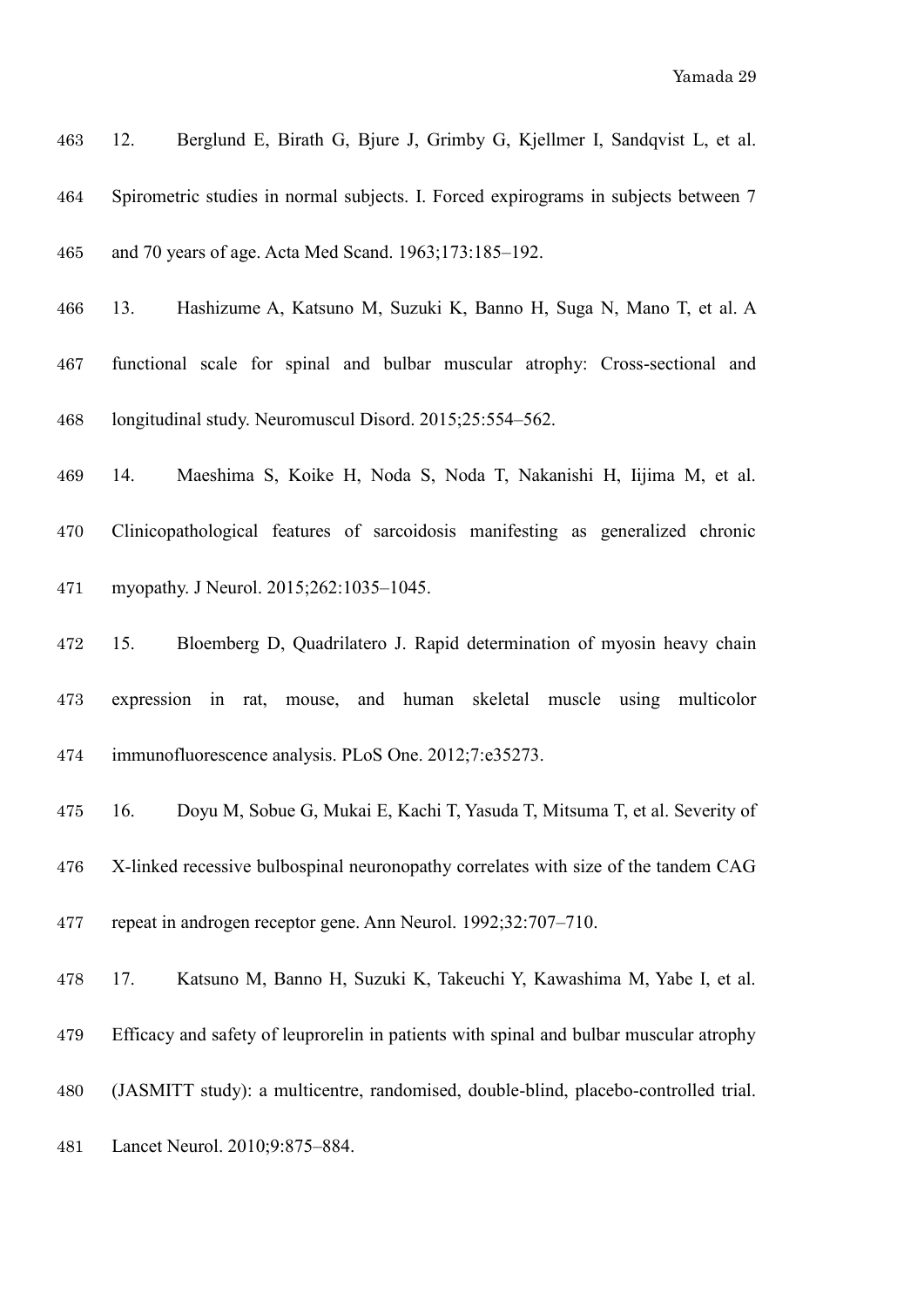| 463 | Berglund E, Birath G, Bjure J, Grimby G, Kjellmer I, Sandqvist L, et al.<br>12.     |
|-----|-------------------------------------------------------------------------------------|
| 464 | Spirometric studies in normal subjects. I. Forced expirograms in subjects between 7 |
| 465 | and 70 years of age. Acta Med Scand. 1963;173:185-192.                              |
| 466 | Hashizume A, Katsuno M, Suzuki K, Banno H, Suga N, Mano T, et al. A<br>13.          |
| 467 | functional scale for spinal and bulbar muscular atrophy: Cross-sectional and        |
| 468 | longitudinal study. Neuromuscul Disord. 2015;25:554-562.                            |
| 469 | Maeshima S, Koike H, Noda S, Noda T, Nakanishi H, Iijima M, et al.<br>14.           |
| 470 | Clinicopathological features of sarcoidosis manifesting as generalized chronic      |
| 471 | myopathy. J Neurol. 2015;262:1035-1045.                                             |
| 472 | Bloemberg D, Quadrilatero J. Rapid determination of myosin heavy chain<br>15.       |
| 473 | expression in rat, mouse, and human skeletal muscle using<br>multicolor             |
| 474 | immunofluorescence analysis. PLoS One. 2012;7:e35273.                               |
| 475 | Doyu M, Sobue G, Mukai E, Kachi T, Yasuda T, Mitsuma T, et al. Severity of<br>16.   |

 X-linked recessive bulbospinal neuronopathy correlates with size of the tandem CAG repeat in androgen receptor gene. Ann Neurol. 1992;32:707–710.

17. Katsuno M, Banno H, Suzuki K, Takeuchi Y, Kawashima M, Yabe I, et al.

Efficacy and safety of leuprorelin in patients with spinal and bulbar muscular atrophy

(JASMITT study): a multicentre, randomised, double-blind, placebo-controlled trial.

Lancet Neurol. 2010;9:875–884.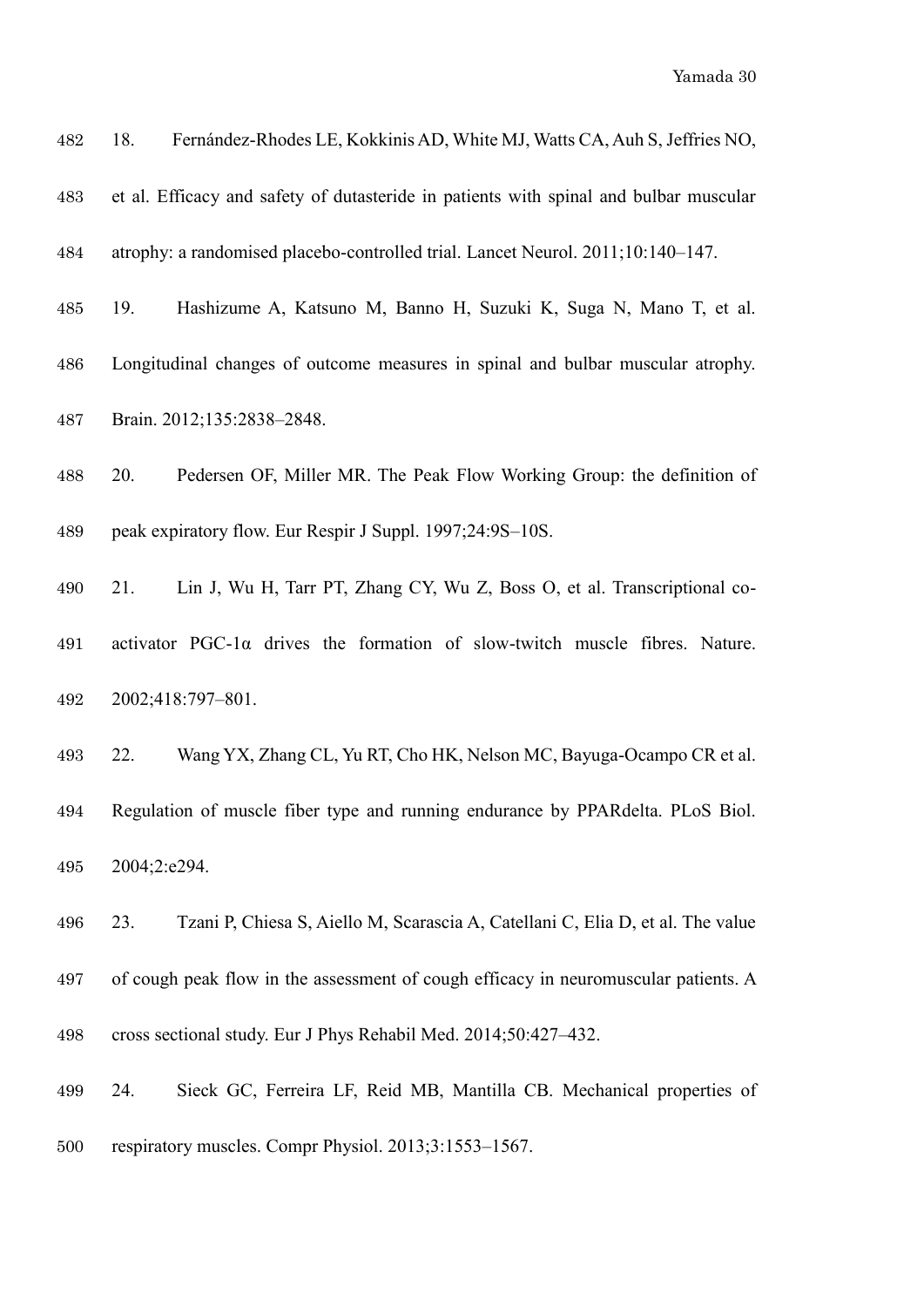| 482 | Fernández-Rhodes LE, Kokkinis AD, White MJ, Watts CA, Auh S, Jeffries NO,<br>18.       |
|-----|----------------------------------------------------------------------------------------|
| 483 | et al. Efficacy and safety of dutasteride in patients with spinal and bulbar muscular  |
| 484 | atrophy: a randomised placebo-controlled trial. Lancet Neurol. 2011;10:140-147.        |
| 485 | Hashizume A, Katsuno M, Banno H, Suzuki K, Suga N, Mano T, et al.<br>19.               |
| 486 | Longitudinal changes of outcome measures in spinal and bulbar muscular atrophy.        |
| 487 | Brain. 2012;135:2838-2848.                                                             |
| 488 | Pedersen OF, Miller MR. The Peak Flow Working Group: the definition of<br>20.          |
| 489 | peak expiratory flow. Eur Respir J Suppl. 1997;24:9S-10S.                              |
| 490 | Lin J, Wu H, Tarr PT, Zhang CY, Wu Z, Boss O, et al. Transcriptional co-<br>21.        |
| 491 | activator $PGC-1\alpha$ drives the formation of slow-twitch muscle fibres. Nature.     |
| 492 | 2002;418:797-801.                                                                      |
| 493 | Wang YX, Zhang CL, Yu RT, Cho HK, Nelson MC, Bayuga-Ocampo CR et al.<br>22.            |
| 494 | Regulation of muscle fiber type and running endurance by PPARdelta. PLoS Biol.         |
| 495 | 2004;2:e294.                                                                           |
| 496 | Tzani P, Chiesa S, Aiello M, Scarascia A, Catellani C, Elia D, et al. The value<br>23. |
| 497 | of cough peak flow in the assessment of cough efficacy in neuromuscular patients. A    |
| 498 | cross sectional study. Eur J Phys Rehabil Med. 2014;50:427-432.                        |

 24. Sieck GC, Ferreira LF, Reid MB, Mantilla CB. Mechanical properties of respiratory muscles. Compr Physiol. 2013;3:1553–1567.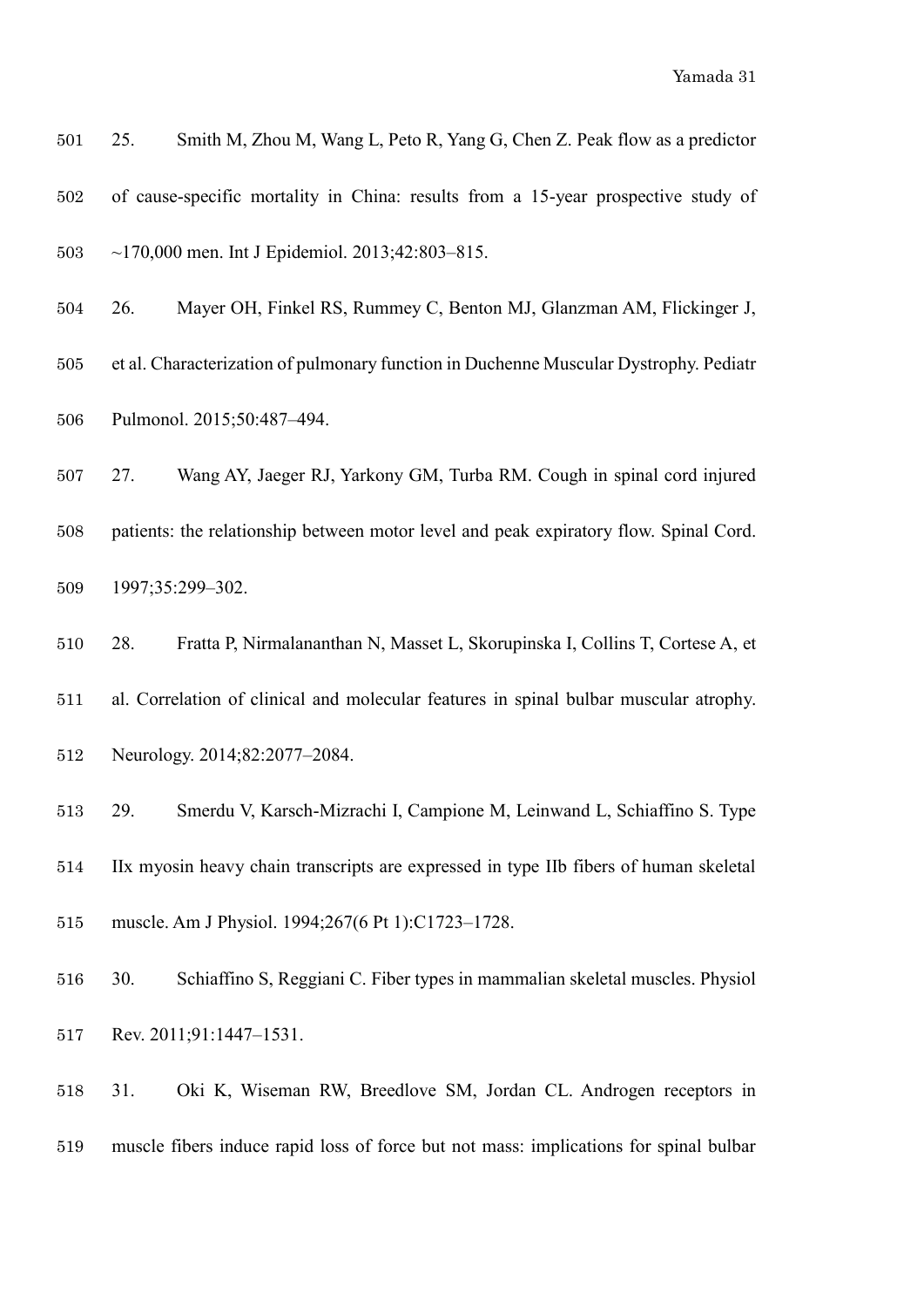| 501 | 25. | Smith M, Zhou M, Wang L, Peto R, Yang G, Chen Z. Peak flow as a predictor             |
|-----|-----|---------------------------------------------------------------------------------------|
| 502 |     | of cause-specific mortality in China: results from a 15-year prospective study of     |
| 503 |     | $\sim$ 170,000 men. Int J Epidemiol. 2013;42:803–815.                                 |
| 504 | 26. | Mayer OH, Finkel RS, Rummey C, Benton MJ, Glanzman AM, Flickinger J,                  |
| 505 |     | et al. Characterization of pulmonary function in Duchenne Muscular Dystrophy. Pediatr |
| 506 |     | Pulmonol. 2015;50:487-494.                                                            |
| 507 | 27. | Wang AY, Jaeger RJ, Yarkony GM, Turba RM. Cough in spinal cord injured                |
| 508 |     | patients: the relationship between motor level and peak expiratory flow. Spinal Cord. |
| 509 |     | 1997;35:299-302.                                                                      |
| 510 | 28. | Fratta P, Nirmalananthan N, Masset L, Skorupinska I, Collins T, Cortese A, et         |
| 511 |     | al. Correlation of clinical and molecular features in spinal bulbar muscular atrophy. |
| 512 |     | Neurology. 2014;82:2077-2084.                                                         |
| 513 | 29. | Smerdu V, Karsch-Mizrachi I, Campione M, Leinwand L, Schiaffino S. Type               |
| 514 |     | IIx myosin heavy chain transcripts are expressed in type IIb fibers of human skeletal |
| 515 |     | muscle. Am J Physiol. 1994;267(6 Pt 1):C1723-1728.                                    |
| 516 | 30. | Schiaffino S, Reggiani C. Fiber types in mammalian skeletal muscles. Physiol          |
|     |     |                                                                                       |

- Rev. 2011;91:1447–1531.
- 31. Oki K, Wiseman RW, Breedlove SM, Jordan CL. Androgen receptors in muscle fibers induce rapid loss of force but not mass: implications for spinal bulbar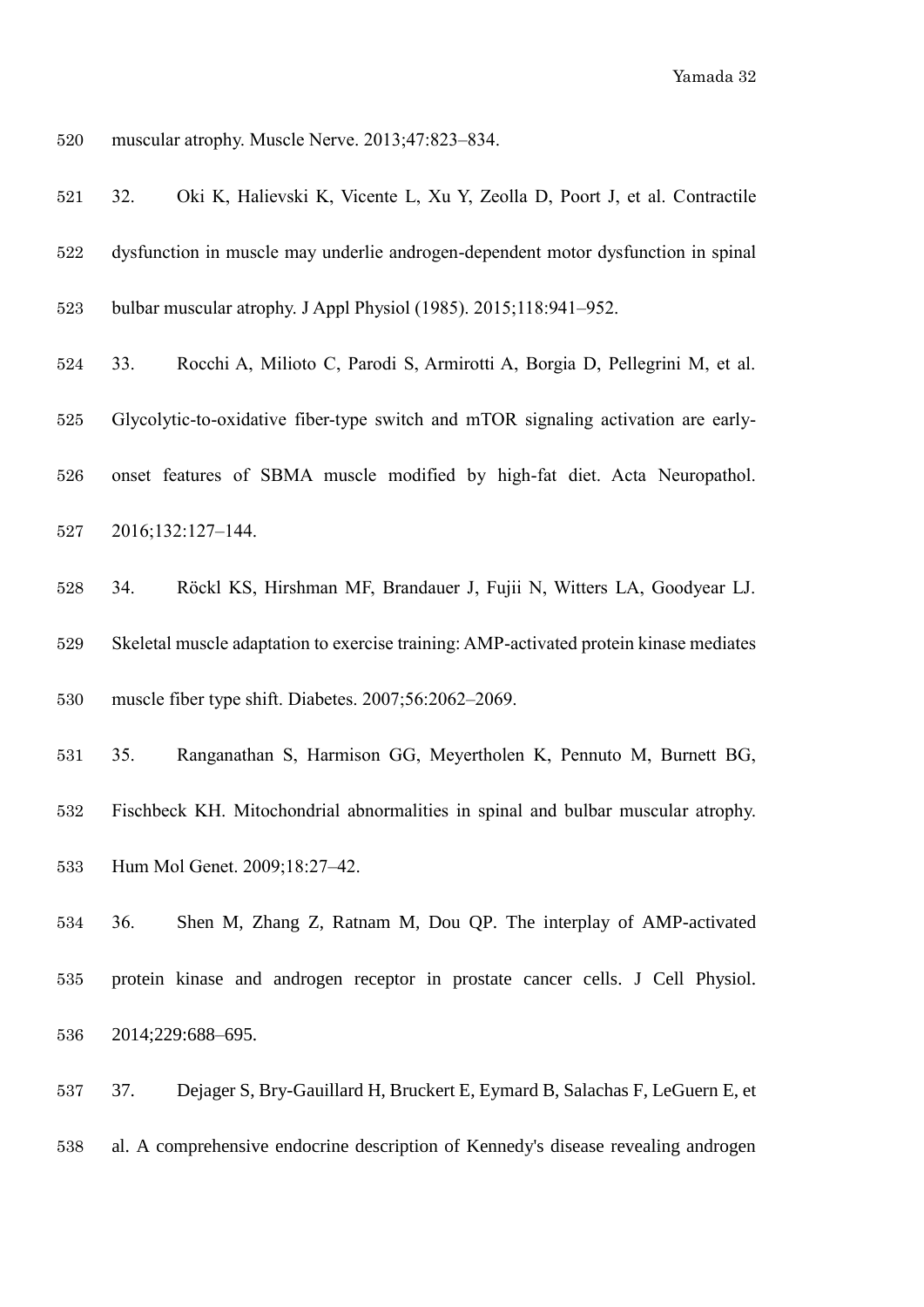muscular atrophy. Muscle Nerve. 2013;47:823–834.

| 521     | Oki K, Halievski K, Vicente L, Xu Y, Zeolla D, Poort J, et al. Contractile<br>32.      |
|---------|----------------------------------------------------------------------------------------|
| 522     | dysfunction in muscle may underlie androgen-dependent motor dysfunction in spinal      |
| 523     | bulbar muscular atrophy. J Appl Physiol (1985). 2015;118:941-952.                      |
| 524     | Rocchi A, Milioto C, Parodi S, Armirotti A, Borgia D, Pellegrini M, et al.<br>33.      |
| 525     | Glycolytic-to-oxidative fiber-type switch and mTOR signaling activation are early-     |
| 526     | onset features of SBMA muscle modified by high-fat diet. Acta Neuropathol.             |
| 527     | 2016;132:127-144.                                                                      |
| $528\,$ | Röckl KS, Hirshman MF, Brandauer J, Fujii N, Witters LA, Goodyear LJ.<br>34.           |
| 529     | Skeletal muscle adaptation to exercise training: AMP-activated protein kinase mediates |
| 530     | muscle fiber type shift. Diabetes. 2007;56:2062-2069.                                  |
| 531     | Ranganathan S, Harmison GG, Meyertholen K, Pennuto M, Burnett BG,<br>35.               |
| 532     | Fischbeck KH. Mitochondrial abnormalities in spinal and bulbar muscular atrophy.       |
| 533     | Hum Mol Genet. 2009;18:27-42.                                                          |
| 534     | Shen M, Zhang Z, Ratnam M, Dou QP. The interplay of AMP-activated<br>36.               |
| 535     | protein kinase and androgen receptor in prostate cancer cells. J Cell Physiol.         |
| 536     | 2014;229:688-695.                                                                      |
| 537     | 37.<br>Dejager S, Bry-Gauillard H, Bruckert E, Eymard B, Salachas F, LeGuern E, et     |
| 538     | al. A comprehensive endocrine description of Kennedy's disease revealing androgen      |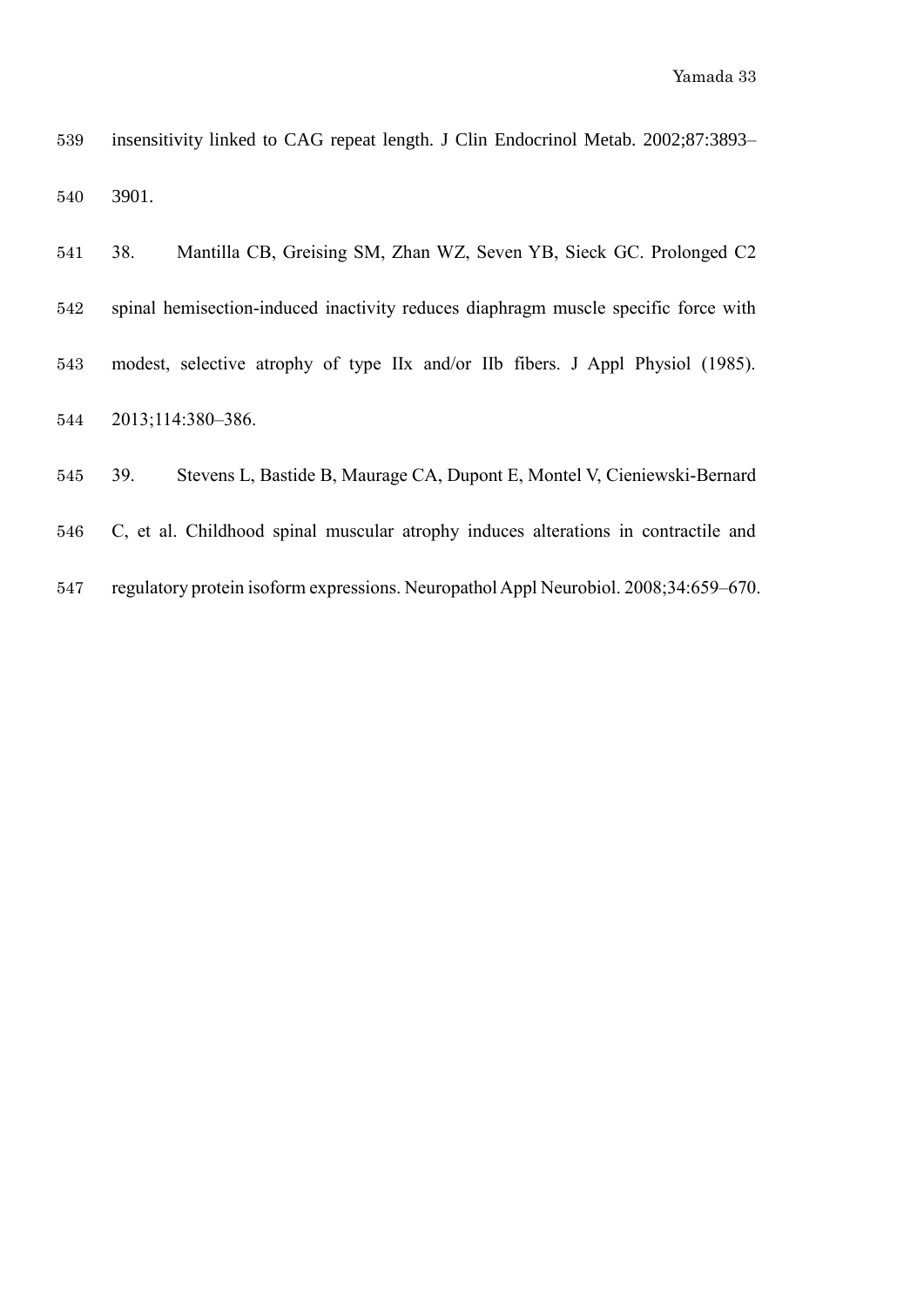| 539 | insensitivity linked to CAG repeat length. J Clin Endocrinol Metab. 2002;87:3893–  |
|-----|------------------------------------------------------------------------------------|
| 540 | 3901.                                                                              |
| 541 | Mantilla CB, Greising SM, Zhan WZ, Seven YB, Sieck GC. Prolonged C2<br>38.         |
| 542 | spinal hemisection-induced inactivity reduces diaphragm muscle specific force with |
| 543 | modest, selective atrophy of type IIx and/or IIb fibers. J Appl Physiol (1985).    |
| 544 | 2013;114:380-386.                                                                  |
| 545 | 39.<br>Stevens L, Bastide B, Maurage CA, Dupont E, Montel V, Cieniewski-Bernard    |
|     |                                                                                    |

- C, et al. Childhood spinal muscular atrophy induces alterations in contractile and
- regulatory protein isoform expressions. Neuropathol Appl Neurobiol. 2008;34:659–670.